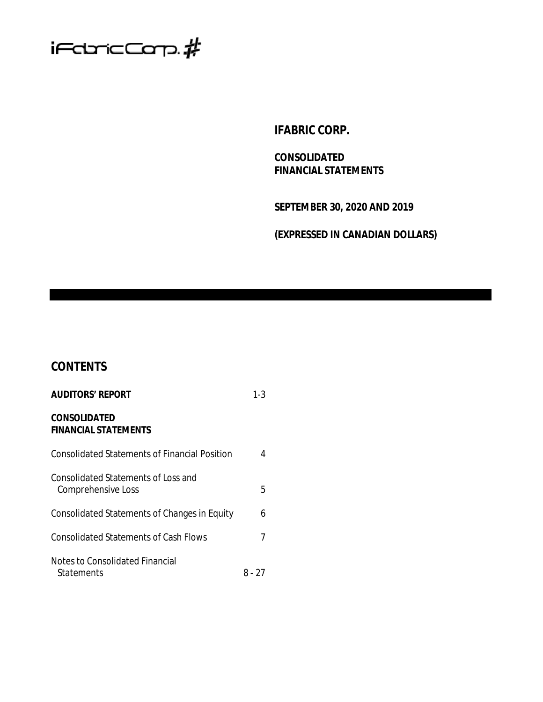

**IFABRIC CORP.**

**CONSOLIDATED FINANCIAL STATEMENTS**

**SEPTEMBER 30, 2020 AND 2019**

**(EXPRESSED IN CANADIAN DOLLARS)**

# **CONTENTS**

| <b>AUDITORS' REPORT</b>                                   | 1-3    |
|-----------------------------------------------------------|--------|
| CONSOLIDATED<br><b>FINANCIAL STATEMENTS</b>               |        |
| Consolidated Statements of Financial Position             | 4      |
| Consolidated Statements of Loss and<br>Comprehensive Loss | 5      |
| Consolidated Statements of Changes in Equity              | 6      |
| Consolidated Statements of Cash Flows                     |        |
| Notes to Consolidated Financial<br>Statements             | 8 - 27 |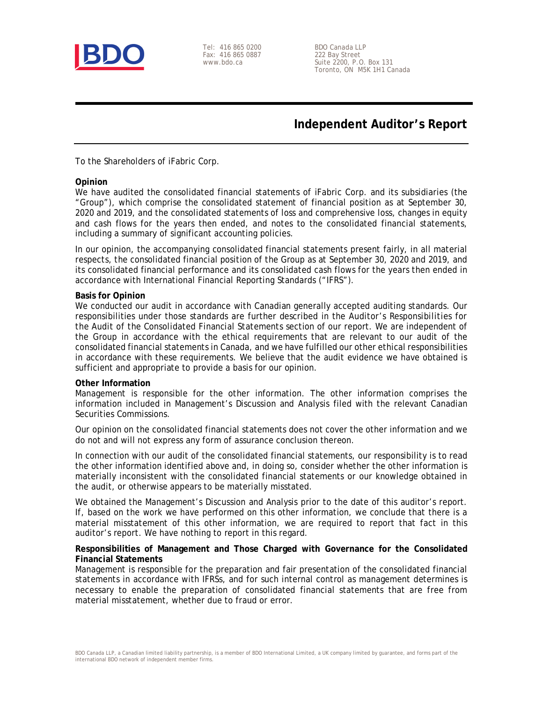

Tel: 416 865 0200 Fax: 416 865 0887 www.bdo.ca

BDO Canada LLP 222 Bay Street Suite 2200, P.O. Box 131 Toronto, ON M5K 1H1 Canada

# **Independent Auditor's Report**

To the Shareholders of iFabric Corp.

**Opinion**

We have audited the consolidated financial statements of iFabric Corp. and its subsidiaries (the "Group"), which comprise the consolidated statement of financial position as at September 30, 2020 and 2019, and the consolidated statements of loss and comprehensive loss, changes in equity and cash flows for the years then ended, and notes to the consolidated financial statements, including a summary of significant accounting policies.

In our opinion, the accompanying consolidated financial statements present fairly, in all material respects, the consolidated financial position of the Group as at September 30, 2020 and 2019, and its consolidated financial performance and its consolidated cash flows for the years then ended in accordance with International Financial Reporting Standards ("IFRS").

#### **Basis for Opinion**

We conducted our audit in accordance with Canadian generally accepted auditing standards. Our responsibilities under those standards are further described in the *Auditor's Responsibilities for the Audit of the Consolidated Financial Statements* section of our report. We are independent of the Group in accordance with the ethical requirements that are relevant to our audit of the consolidated financial statements in Canada, and we have fulfilled our other ethical responsibilities in accordance with these requirements. We believe that the audit evidence we have obtained is sufficient and appropriate to provide a basis for our opinion.

#### **Other Information**

Management is responsible for the other information. The other information comprises the information included in Management's Discussion and Analysis filed with the relevant Canadian Securities Commissions.

Our opinion on the consolidated financial statements does not cover the other information and we do not and will not express any form of assurance conclusion thereon.

In connection with our audit of the consolidated financial statements, our responsibility is to read the other information identified above and, in doing so, consider whether the other information is materially inconsistent with the consolidated financial statements or our knowledge obtained in the audit, or otherwise appears to be materially misstated.

We obtained the Management's Discussion and Analysis prior to the date of this auditor's report. If, based on the work we have performed on this other information, we conclude that there is a material misstatement of this other information, we are required to report that fact in this auditor's report. We have nothing to report in this regard.

**Responsibilities of Management and Those Charged with Governance for the Consolidated Financial Statements**

Management is responsible for the preparation and fair presentation of the consolidated financial statements in accordance with IFRSs, and for such internal control as management determines is necessary to enable the preparation of consolidated financial statements that are free from material misstatement, whether due to fraud or error.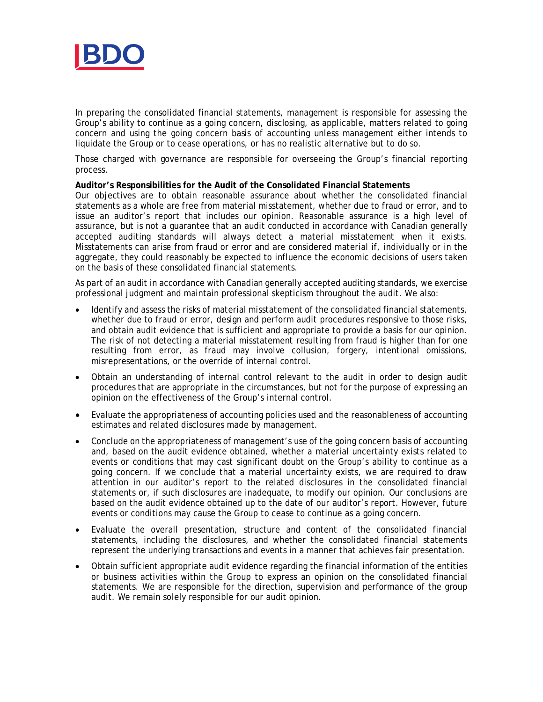

In preparing the consolidated financial statements, management is responsible for assessing the Group's ability to continue as a going concern, disclosing, as applicable, matters related to going concern and using the going concern basis of accounting unless management either intends to liquidate the Group or to cease operations, or has no realistic alternative but to do so.

Those charged with governance are responsible for overseeing the Group's financial reporting process.

**Auditor's Responsibilities for the Audit of the Consolidated Financial Statements**

Our objectives are to obtain reasonable assurance about whether the consolidated financial statements as a whole are free from material misstatement, whether due to fraud or error, and to issue an auditor's report that includes our opinion. Reasonable assurance is a high level of assurance, but is not a guarantee that an audit conducted in accordance with Canadian generally accepted auditing standards will always detect a material misstatement when it exists. Misstatements can arise from fraud or error and are considered material if, individually or in the aggregate, they could reasonably be expected to influence the economic decisions of users taken on the basis of these consolidated financial statements.

As part of an audit in accordance with Canadian generally accepted auditing standards, we exercise professional judgment and maintain professional skepticism throughout the audit. We also:

- · Identify and assess the risks of material misstatement of the consolidated financial statements, whether due to fraud or error, design and perform audit procedures responsive to those risks, and obtain audit evidence that is sufficient and appropriate to provide a basis for our opinion. The risk of not detecting a material misstatement resulting from fraud is higher than for one resulting from error, as fraud may involve collusion, forgery, intentional omissions, misrepresentations, or the override of internal control.
- · Obtain an understanding of internal control relevant to the audit in order to design audit procedures that are appropriate in the circumstances, but not for the purpose of expressing an opinion on the effectiveness of the Group's internal control.
- · Evaluate the appropriateness of accounting policies used and the reasonableness of accounting estimates and related disclosures made by management.
- · Conclude on the appropriateness of management's use of the going concern basis of accounting and, based on the audit evidence obtained, whether a material uncertainty exists related to events or conditions that may cast significant doubt on the Group's ability to continue as a going concern. If we conclude that a material uncertainty exists, we are required to draw attention in our auditor's report to the related disclosures in the consolidated financial statements or, if such disclosures are inadequate, to modify our opinion. Our conclusions are based on the audit evidence obtained up to the date of our auditor's report. However, future events or conditions may cause the Group to cease to continue as a going concern.
- · Evaluate the overall presentation, structure and content of the consolidated financial statements, including the disclosures, and whether the consolidated financial statements represent the underlying transactions and events in a manner that achieves fair presentation.
- · Obtain sufficient appropriate audit evidence regarding the financial information of the entities or business activities within the Group to express an opinion on the consolidated financial statements. We are responsible for the direction, supervision and performance of the group audit. We remain solely responsible for our audit opinion.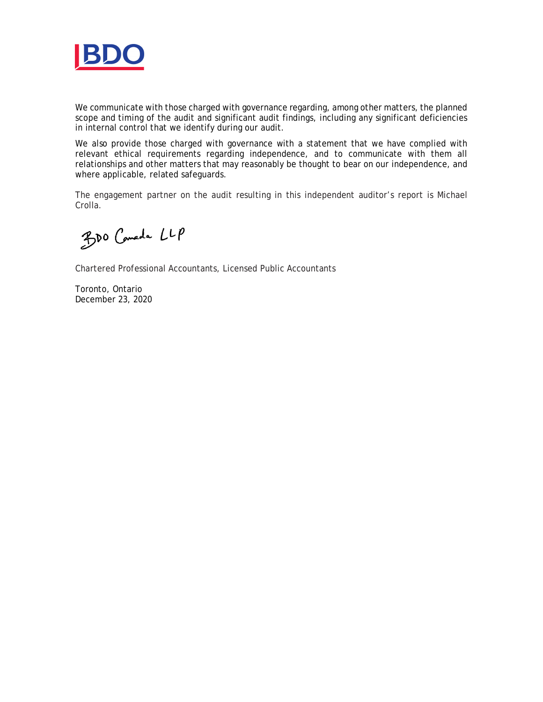

We communicate with those charged with governance regarding, among other matters, the planned scope and timing of the audit and significant audit findings, including any significant deficiencies in internal control that we identify during our audit.

We also provide those charged with governance with a statement that we have complied with relevant ethical requirements regarding independence, and to communicate with them all relationships and other matters that may reasonably be thought to bear on our independence, and where applicable, related safeguards.

The engagement partner on the audit resulting in this independent auditor's report is Michael Crolla.

BDO Conda LLP

Chartered Professional Accountants, Licensed Public Accountants

Toronto, Ontario December 23, 2020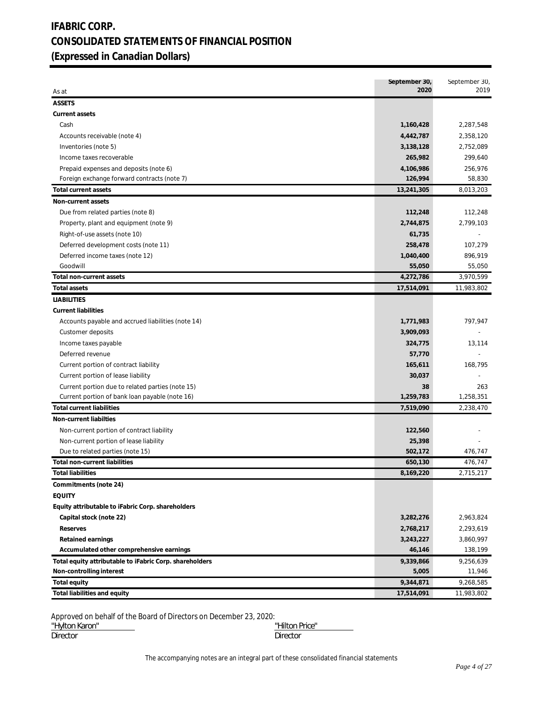# **IFABRIC CORP. CONSOLIDATED STATEMENTS OF FINANCIAL POSITION (Expressed in Canadian Dollars)**

| As at                                                   | September 30,<br>2020 | September 30,<br>2019 |
|---------------------------------------------------------|-----------------------|-----------------------|
| <b>ASSETS</b>                                           |                       |                       |
| Current assets                                          |                       |                       |
| Cash                                                    | 1,160,428             | 2,287,548             |
| Accounts receivable (note 4)                            | 4,442,787             | 2,358,120             |
| Inventories (note 5)                                    | 3,138,128             | 2,752,089             |
| Income taxes recoverable                                | 265,982               | 299,640               |
| Prepaid expenses and deposits (note 6)                  | 4,106,986             | 256,976               |
| Foreign exchange forward contracts (note 7)             | 126,994               | 58,830                |
| Total current assets                                    | 13,241,305            | 8,013,203             |
| Non-current assets                                      |                       |                       |
| Due from related parties (note 8)                       | 112,248               | 112,248               |
| Property, plant and equipment (note 9)                  | 2,744,875             | 2,799,103             |
| Right-of-use assets (note 10)                           | 61,735                |                       |
| Deferred development costs (note 11)                    | 258,478               | 107,279               |
| Deferred income taxes (note 12)                         | 1,040,400             | 896,919               |
| Goodwill                                                | 55,050                | 55,050                |
| Total non-current assets                                | 4,272,786             | 3,970,599             |
| <b>Total assets</b>                                     | 17,514,091            | 11,983,802            |
| <b>LIABILITIES</b>                                      |                       |                       |
| <b>Current liabilities</b>                              |                       |                       |
| Accounts payable and accrued liabilities (note 14)      | 1,771,983             | 797,947               |
| Customer deposits                                       | 3,909,093             |                       |
| Income taxes payable                                    | 324,775               | 13,114                |
| Deferred revenue                                        | 57,770                |                       |
| Current portion of contract liability                   | 165,611               | 168,795               |
| Current portion of lease liability                      | 30,037                |                       |
| Current portion due to related parties (note 15)        | 38                    | 263                   |
| Current portion of bank loan payable (note 16)          | 1,259,783             | 1,258,351             |
| <b>Total current liabilities</b>                        | 7,519,090             | 2,238,470             |
| Non-current liabilties                                  |                       |                       |
| Non-current portion of contract liability               | 122,560               |                       |
| Non-current portion of lease liability                  | 25,398                |                       |
| Due to related parties (note 15)                        | 502,172               | 476,747               |
| Total non-current liabilities                           | 650,130               | 476,747               |
| <b>Total liabilities</b>                                | 8,169,220             | 2,715,217             |
| Commitments (note 24)                                   |                       |                       |
| <b>EQUITY</b>                                           |                       |                       |
| Equity attributable to iFabric Corp. shareholders       |                       |                       |
| Capital stock (note 22)                                 | 3,282,276             | 2,963,824             |
| Reserves                                                | 2,768,217             | 2,293,619             |
| Retained earnings                                       | 3,243,227             | 3,860,997             |
| Accumulated other comprehensive earnings                | 46,146                | 138,199               |
| Total equity attributable to iFabric Corp. shareholders | 9,339,866             | 9,256,639             |
| Non-controlling interest                                | 5,005                 | 11,946                |
| Total equity                                            | 9,344,871             | 9,268,585             |
| Total liabilities and equity                            | 17,514,091            | 11,983,802            |

Approved on behalf of the Board of Directors on December 23, 2020:<br>"Hilton Price"

*"Hylton Karon"* "*Hilton Price"*

Director Director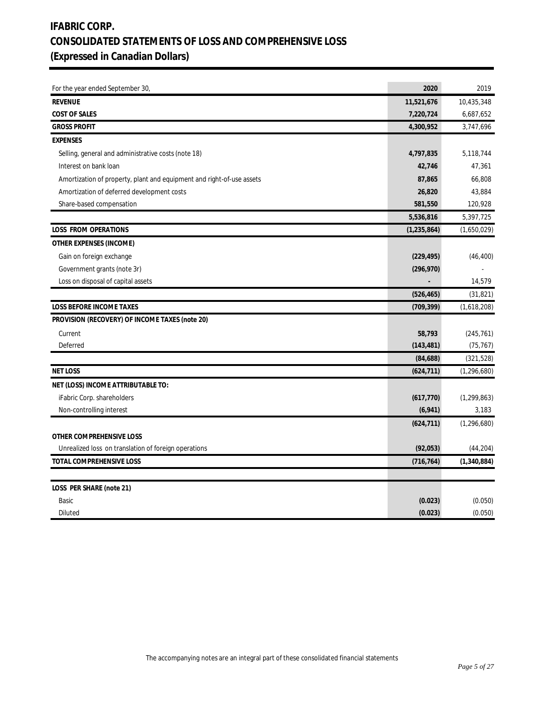# **IFABRIC CORP. CONSOLIDATED STATEMENTS OF LOSS AND COMPREHENSIVE LOSS (Expressed in Canadian Dollars)**

| For the year ended September 30,                                      | 2020          | 2019          |
|-----------------------------------------------------------------------|---------------|---------------|
| <b>REVENUE</b>                                                        | 11,521,676    | 10,435,348    |
| COST OF SALES                                                         | 7,220,724     | 6,687,652     |
| <b>GROSS PROFIT</b>                                                   | 4,300,952     | 3,747,696     |
| <b>EXPENSES</b>                                                       |               |               |
| Selling, general and administrative costs (note 18)                   | 4,797,835     | 5,118,744     |
| Interest on bank loan                                                 | 42,746        | 47,361        |
| Amortization of property, plant and equipment and right-of-use assets | 87,865        | 66,808        |
| Amortization of deferred development costs                            | 26,820        | 43,884        |
| Share-based compensation                                              | 581,550       | 120,928       |
|                                                                       | 5,536,816     | 5,397,725     |
| LOSS FROM OPERATIONS                                                  | (1, 235, 864) | (1,650,029)   |
| OTHER EXPENSES (INCOME)                                               |               |               |
| Gain on foreign exchange                                              | (229, 495)    | (46, 400)     |
| Government grants (note 3r)                                           | (296, 970)    |               |
| Loss on disposal of capital assets                                    |               | 14,579        |
|                                                                       | (526, 465)    | (31, 821)     |
| LOSS BEFORE INCOME TAXES                                              | (709, 399)    | (1,618,208)   |
| PROVISION (RECOVERY) OF INCOME TAXES (note 20)                        |               |               |
| Current                                                               | 58,793        | (245, 761)    |
| Deferred                                                              | (143, 481)    | (75, 767)     |
|                                                                       | (84,688)      | (321, 528)    |
| <b>NET LOSS</b>                                                       | (624, 711)    | (1, 296, 680) |
| NET (LOSS) INCOME ATTRIBUTABLE TO:                                    |               |               |
| iFabric Corp. shareholders                                            | (617, 770)    | (1, 299, 863) |
| Non-controlling interest                                              | (6, 941)      | 3,183         |
|                                                                       | (624, 711)    | (1, 296, 680) |
| OTHER COMPREHENSIVE LOSS                                              |               |               |
| Unrealized loss on translation of foreign operations                  | (92, 053)     | (44, 204)     |
| TOTAL COMPREHENSIVE LOSS                                              | (716, 764)    | (1, 340, 884) |
|                                                                       |               |               |
| LOSS PER SHARE (note 21)                                              |               |               |
| Basic                                                                 | (0.023)       | (0.050)       |
| <b>Diluted</b>                                                        | (0.023)       | (0.050)       |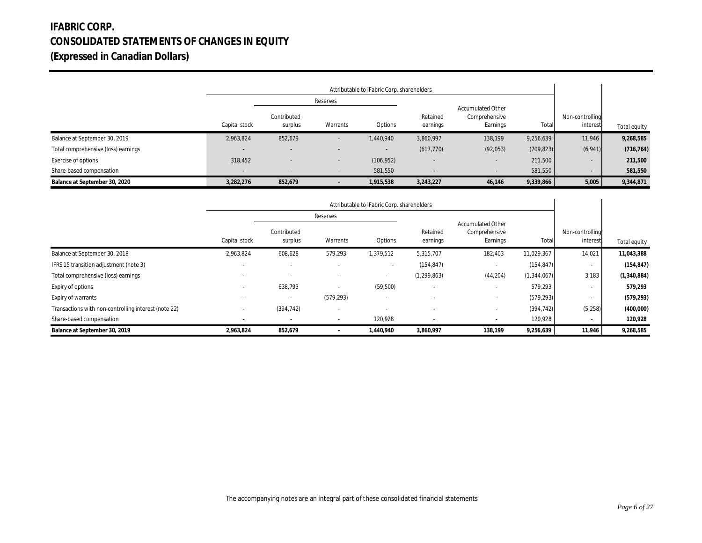# **IFABRIC CORP. CONSOLIDATED STATEMENTS OF CHANGES IN EQUITY (Expressed in Canadian Dollars)**

|                                     | Attributable to iFabric Corp. shareholders |                        |                          |                          |                      |                                                       |            |                             |              |
|-------------------------------------|--------------------------------------------|------------------------|--------------------------|--------------------------|----------------------|-------------------------------------------------------|------------|-----------------------------|--------------|
|                                     |                                            |                        | Reserves                 |                          |                      |                                                       |            |                             |              |
|                                     | Capital stock                              | Contributed<br>surplus | Warrants                 | Options                  | Retained<br>earnings | <b>Accumulated Other</b><br>Comprehensive<br>Earnings | Total      | Non-controlling<br>interest | Total equity |
| Balance at September 30, 2019       | 2,963,824                                  | 852.679                | $\sim$                   | 1.440.940                | 3,860,997            | 138,199                                               | 9,256,639  | 11,946                      | 9,268,585    |
| Total comprehensive (loss) earnings | $\overline{\phantom{0}}$                   |                        |                          | $\overline{\phantom{a}}$ | (617, 770)           | (92, 053)                                             | (709, 823) | (6,941)                     | (716, 764)   |
| Exercise of options                 | 318,452                                    |                        |                          | (106, 952)               |                      | $\overline{a}$                                        | 211,500    | $\overline{\phantom{a}}$    | 211,500      |
| Share-based compensation            | $\overline{\phantom{0}}$                   |                        | $\overline{\phantom{a}}$ | 581,550                  |                      | $\overline{\phantom{a}}$                              | 581,550    | $\overline{\phantom{a}}$    | 581,550      |
| Balance at September 30, 2020       | 3,282,276                                  | 852,679                | $\overline{\phantom{0}}$ | 1,915,538                | 3,243,227            | 46,146                                                | 9,339,866  | 5,005                       | 9,344,871    |

|                                                      | Attributable to iFabric Corp. shareholders |                        |                          |                          |                      |                                                       |               |                             |              |
|------------------------------------------------------|--------------------------------------------|------------------------|--------------------------|--------------------------|----------------------|-------------------------------------------------------|---------------|-----------------------------|--------------|
|                                                      |                                            |                        | Reserves                 |                          |                      |                                                       |               |                             |              |
|                                                      | Capital stock                              | Contributed<br>surplus | Warrants                 | Options                  | Retained<br>earnings | <b>Accumulated Other</b><br>Comprehensive<br>Earnings | Total         | Non-controlling<br>interest | Total equity |
| Balance at September 30, 2018                        | 2,963,824                                  | 608,628                | 579,293                  | 1,379,512                | 5,315,707            | 182,403                                               | 11,029,367    | 14,021                      | 11,043,388   |
| IFRS 15 transition adjustment (note 3)               | $\overline{\phantom{a}}$                   |                        |                          | $\overline{\phantom{a}}$ | (154, 847)           | $\sim$                                                | (154, 847)    |                             | (154, 847)   |
| Total comprehensive (loss) earnings                  | $\overline{\phantom{0}}$                   |                        |                          | ٠                        | (1, 299, 863)        | (44, 204)                                             | (1, 344, 067) | 3,183                       | (1,340,884)  |
| Expiry of options                                    | $\sim$                                     | 638,793                |                          | (59, 500)                |                      | $\sim$                                                | 579,293       | $\overline{\phantom{a}}$    | 579,293      |
| Expiry of warrants                                   |                                            |                        | (579, 293)               | $\overline{\phantom{a}}$ |                      | $\overline{\phantom{a}}$                              | (579, 293)    |                             | (579, 293)   |
| Transactions with non-controlling interest (note 22) | $\overline{\phantom{a}}$                   | (394, 742)             | $\overline{\phantom{a}}$ |                          |                      | $\overline{\phantom{a}}$                              | (394, 742)    | (5, 258)                    | (400,000)    |
| Share-based compensation                             | $\overline{\phantom{a}}$                   |                        | $\overline{\phantom{a}}$ | 120,928                  |                      |                                                       | 120,928       | $\overline{\phantom{a}}$    | 120,928      |
| Balance at September 30, 2019                        | 2,963,824                                  | 852,679                |                          | 1,440,940                | 3,860,997            | 138,199                                               | 9,256,639     | 11,946                      | 9,268,585    |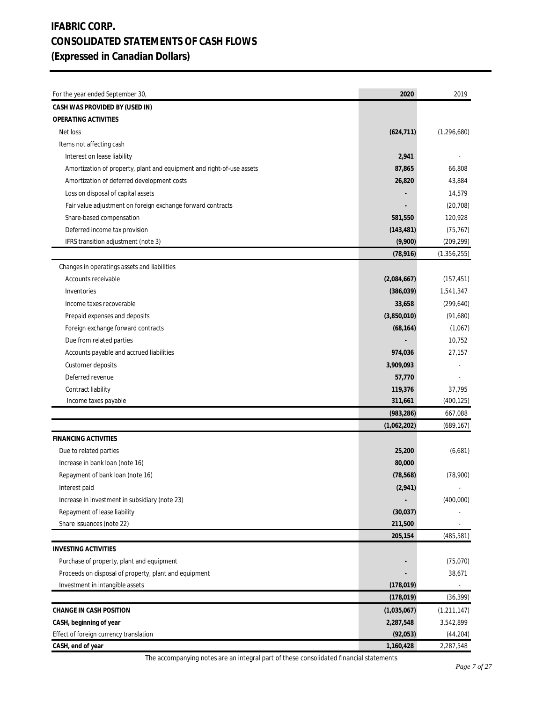# **IFABRIC CORP. CONSOLIDATED STATEMENTS OF CASH FLOWS (Expressed in Canadian Dollars)**

| For the year ended September 30,                                      | 2020        | 2019          |
|-----------------------------------------------------------------------|-------------|---------------|
| CASH WAS PROVIDED BY (USED IN)                                        |             |               |
| OPERATING ACTIVITIES                                                  |             |               |
| Net loss                                                              | (624, 711)  | (1, 296, 680) |
| Items not affecting cash                                              |             |               |
| Interest on lease liability                                           | 2,941       |               |
| Amortization of property, plant and equipment and right-of-use assets | 87,865      | 66,808        |
| Amortization of deferred development costs                            | 26,820      | 43,884        |
| Loss on disposal of capital assets                                    |             | 14,579        |
| Fair value adjustment on foreign exchange forward contracts           |             | (20, 708)     |
| Share-based compensation                                              | 581,550     | 120,928       |
| Deferred income tax provision                                         | (143, 481)  | (75, 767)     |
| IFRS transition adjustment (note 3)                                   | (9,900)     | (209, 299)    |
|                                                                       | (78, 916)   | (1, 356, 255) |
| Changes in operatings assets and liabilities                          |             |               |
| Accounts receivable                                                   | (2,084,667) | (157, 451)    |
| Inventories                                                           | (386, 039)  | 1,541,347     |
| Income taxes recoverable                                              | 33,658      | (299, 640)    |
| Prepaid expenses and deposits                                         | (3,850,010) | (91,680)      |
| Foreign exchange forward contracts                                    | (68, 164)   | (1,067)       |
| Due from related parties                                              |             | 10,752        |
| Accounts payable and accrued liabilities                              | 974,036     | 27,157        |
| Customer deposits                                                     | 3,909,093   |               |
| Deferred revenue                                                      | 57,770      |               |
| Contract liability                                                    | 119,376     | 37,795        |
| Income taxes payable                                                  | 311,661     | (400, 125)    |
|                                                                       | (983, 286)  | 667,088       |
|                                                                       | (1,062,202) | (689, 167)    |
| <b>FINANCING ACTIVITIES</b>                                           |             |               |
| Due to related parties                                                | 25,200      | (6,681)       |
| Increase in bank loan (note 16)                                       | 80,000      |               |
| Repayment of bank loan (note 16)                                      | (78, 568)   | (78,900)      |
| Interest paid                                                         | (2,941)     |               |
| Increase in investment in subsidiary (note 23)                        |             | (400,000)     |
| Repayment of lease liability                                          | (30,037)    |               |
| Share issuances (note 22)                                             | 211,500     |               |
|                                                                       | 205,154     | (485, 581)    |
| <b>INVESTING ACTIVITIES</b>                                           |             |               |
| Purchase of property, plant and equipment                             |             | (75,070)      |
| Proceeds on disposal of property, plant and equipment                 |             | 38,671        |
| Investment in intangible assets                                       | (178, 019)  |               |
|                                                                       | (178, 019)  | (36, 399)     |
| CHANGE IN CASH POSITION                                               | (1,035,067) | (1, 211, 147) |
| CASH, beginning of year                                               | 2,287,548   | 3,542,899     |
| Effect of foreign currency translation                                | (92,053)    | (44, 204)     |
| CASH, end of year                                                     | 1,160,428   | 2,287,548     |

The accompanying notes are an integral part of these consolidated financial statements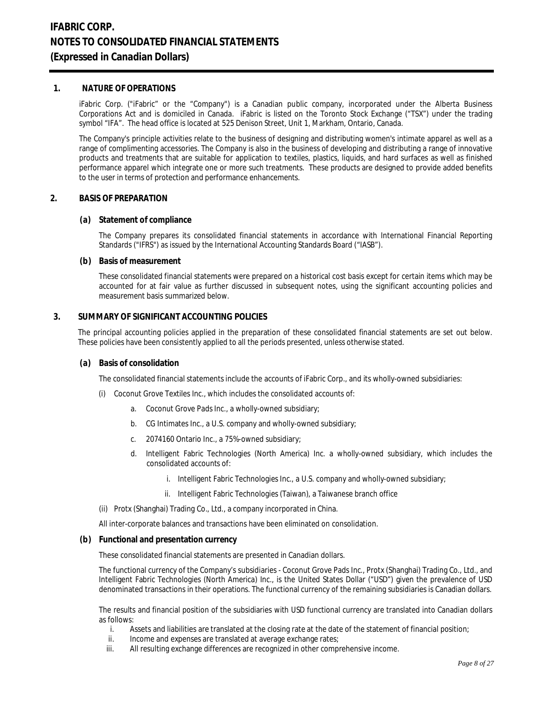#### **1. NATURE OF OPERATIONS**

iFabric Corp. ("iFabric" or the "Company") is a Canadian public company, incorporated under the Alberta Business Corporations Act and is domiciled in Canada. iFabric is listed on the Toronto Stock Exchange ("TSX") under the trading symbol "IFA". The head office is located at 525 Denison Street, Unit 1, Markham, Ontario, Canada.

The Company's principle activities relate to the business of designing and distributing women's intimate apparel as well as a range of complimenting accessories. The Company is also in the business of developing and distributing a range of innovative products and treatments that are suitable for application to textiles, plastics, liquids, and hard surfaces as well as finished performance apparel which integrate one or more such treatments. These products are designed to provide added benefits to the user in terms of protection and performance enhancements.

#### **2. BASIS OF PREPARATION**

#### **(a) Statement of compliance**

The Company prepares its consolidated financial statements in accordance with International Financial Reporting Standards ("IFRS") as issued by the International Accounting Standards Board ("IASB").

#### **(b) Basis of measurement**

These consolidated financial statements were prepared on a historical cost basis except for certain items which may be accounted for at fair value as further discussed in subsequent notes, using the significant accounting policies and measurement basis summarized below.

### **3. SUMMARY OF SIGNIFICANT ACCOUNTING POLICIES**

The principal accounting policies applied in the preparation of these consolidated financial statements are set out below. These policies have been consistently applied to all the periods presented, unless otherwise stated.

#### **(a) Basis of consolidation**

The consolidated financial statements include the accounts of iFabric Corp., and its wholly-owned subsidiaries:

- (i) Coconut Grove Textiles Inc., which includes the consolidated accounts of:
	- a. Coconut Grove Pads Inc., a wholly-owned subsidiary;
	- b. CG Intimates Inc., a U.S. company and wholly-owned subsidiary;
	- c. 2074160 Ontario Inc., a 75%-owned subsidiary;
	- d. Intelligent Fabric Technologies (North America) Inc. a wholly-owned subsidiary, which includes the consolidated accounts of:
		- i. Intelligent Fabric Technologies Inc., a U.S. company and wholly-owned subsidiary;
		- ii. Intelligent Fabric Technologies (Taiwan), a Taiwanese branch office
- (ii) Protx (Shanghai) Trading Co., Ltd., a company incorporated in China.

All inter-corporate balances and transactions have been eliminated on consolidation.

**(b) Functional and presentation currency**

These consolidated financial statements are presented in Canadian dollars.

The functional currency of the Company's subsidiaries - Coconut Grove Pads Inc., Protx (Shanghai) Trading Co., Ltd., and Intelligent Fabric Technologies (North America) Inc., is the United States Dollar ("USD") given the prevalence of USD denominated transactions in their operations. The functional currency of the remaining subsidiaries is Canadian dollars.

The results and financial position of the subsidiaries with USD functional currency are translated into Canadian dollars as follows:

- i. Assets and liabilities are translated at the closing rate at the date of the statement of financial position;<br>ii. Income and expenses are translated at average exchange rates:
- Income and expenses are translated at average exchange rates;
- iii. All resulting exchange differences are recognized in other comprehensive income.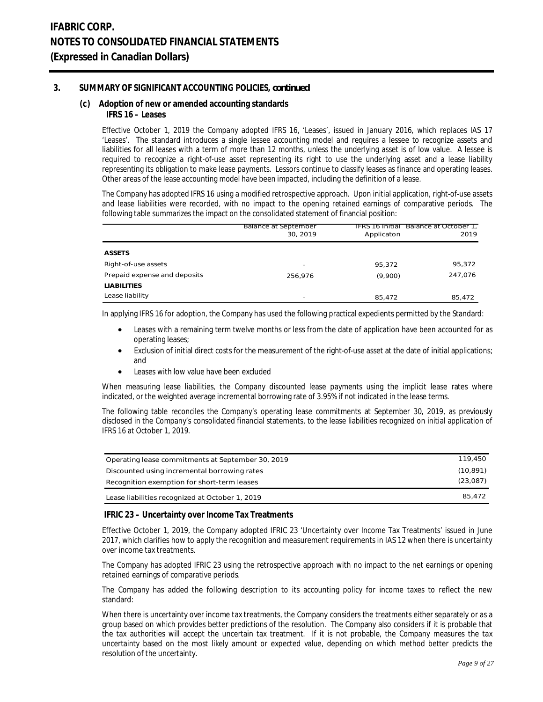## **(c) Adoption of new or amended accounting standards**

 **IFRS 16 – Leases**

Effective October 1, 2019 the Company adopted IFRS 16, 'Leases', issued in January 2016, which replaces IAS 17 'Leases'. The standard introduces a single lessee accounting model and requires a lessee to recognize assets and liabilities for all leases with a term of more than 12 months, unless the underlying asset is of low value. A lessee is required to recognize a right-of-use asset representing its right to use the underlying asset and a lease liability representing its obligation to make lease payments. Lessors continue to classify leases as finance and operating leases. Other areas of the lease accounting model have been impacted, including the definition of a lease.

The Company has adopted IFRS 16 using a modified retrospective approach. Upon initial application, right-of-use assets and lease liabilities were recorded, with no impact to the opening retained earnings of comparative periods. The following table summarizes the impact on the consolidated statement of financial position:

|                              | <b>Balance at September</b><br>30.2019 | Applicaton | TERS TO Initial Balance at October T.<br>2019 |
|------------------------------|----------------------------------------|------------|-----------------------------------------------|
| ASSETS                       |                                        |            |                                               |
| Right-of-use assets          |                                        | 95,372     | 95,372                                        |
| Prepaid expense and deposits | 256,976                                | (9,900)    | 247,076                                       |
| <b>LIABILITIES</b>           |                                        |            |                                               |
| Lease liability              |                                        | 85,472     | 85.472                                        |

In applying IFRS 16 for adoption, the Company has used the following practical expedients permitted by the Standard:

- Leases with a remaining term twelve months or less from the date of application have been accounted for as operating leases;
- Exclusion of initial direct costs for the measurement of the right-of-use asset at the date of initial applications; and
- Leases with low value have been excluded

When measuring lease liabilities, the Company discounted lease payments using the implicit lease rates where indicated, or the weighted average incremental borrowing rate of 3.95% if not indicated in the lease terms.

The following table reconciles the Company's operating lease commitments at September 30, 2019, as previously disclosed in the Company's consolidated financial statements, to the lease liabilities recognized on initial application of IFRS 16 at October 1, 2019.

| Operating lease commitments at September 30, 2019 | 119.450   |
|---------------------------------------------------|-----------|
| Discounted using incremental borrowing rates      | (10, 891) |
| Recognition exemption for short-term leases       | (23,087)  |
| Lease liabilities recognized at October 1, 2019   | 85.472    |

### **IFRIC 23 – Uncertainty over Income Tax Treatments**

Effective October 1, 2019, the Company adopted IFRIC 23 'Uncertainty over Income Tax Treatments' issued in June 2017, which clarifies how to apply the recognition and measurement requirements in IAS 12 when there is uncertainty over income tax treatments.

The Company has adopted IFRIC 23 using the retrospective approach with no impact to the net earnings or opening retained earnings of comparative periods.

The Company has added the following description to its accounting policy for income taxes to reflect the new standard:

When there is uncertainty over income tax treatments, the Company considers the treatments either separately or as a group based on which provides better predictions of the resolution. The Company also considers if it is probable that the tax authorities will accept the uncertain tax treatment. If it is not probable, the Company measures the tax uncertainty based on the most likely amount or expected value, depending on which method better predicts the resolution of the uncertainty.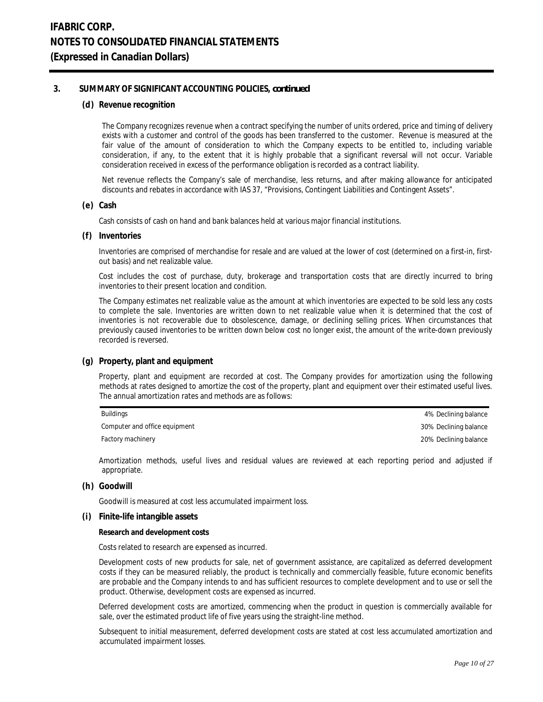**(d) Revenue recognition**

The Company recognizes revenue when a contract specifying the number of units ordered, price and timing of delivery exists with a customer and control of the goods has been transferred to the customer. Revenue is measured at the fair value of the amount of consideration to which the Company expects to be entitled to, including variable consideration, if any, to the extent that it is highly probable that a significant reversal will not occur. Variable consideration received in excess of the performance obligation is recorded as a contract liability.

Net revenue reflects the Company's sale of merchandise, less returns, and after making allowance for anticipated discounts and rebates in accordance with IAS 37, "Provisions, Contingent Liabilities and Contingent Assets".

**(e) Cash**

Cash consists of cash on hand and bank balances held at various major financial institutions.

**(f) Inventories**

Inventories are comprised of merchandise for resale and are valued at the lower of cost (determined on a first-in, firstout basis) and net realizable value.

Cost includes the cost of purchase, duty, brokerage and transportation costs that are directly incurred to bring inventories to their present location and condition.

The Company estimates net realizable value as the amount at which inventories are expected to be sold less any costs to complete the sale. Inventories are written down to net realizable value when it is determined that the cost of inventories is not recoverable due to obsolescence, damage, or declining selling prices. When circumstances that previously caused inventories to be written down below cost no longer exist, the amount of the write-down previously recorded is reversed.

**(g) Property, plant and equipment**

Property, plant and equipment are recorded at cost. The Company provides for amortization using the following methods at rates designed to amortize the cost of the property, plant and equipment over their estimated useful lives. The annual amortization rates and methods are as follows:

| <b>Buildings</b>              | 4% Declining balance  |
|-------------------------------|-----------------------|
| Computer and office equipment | 30% Declining balance |
| Factory machinery             | 20% Declining balance |

Amortization methods, useful lives and residual values are reviewed at each reporting period and adjusted if appropriate.

**(h) Goodwill**

Goodwill is measured at cost less accumulated impairment loss.

**(i) Finite-life intangible assets**

**Research and development costs**

Costs related to research are expensed as incurred.

Development costs of new products for sale, net of government assistance, are capitalized as deferred development costs if they can be measured reliably, the product is technically and commercially feasible, future economic benefits are probable and the Company intends to and has sufficient resources to complete development and to use or sell the product. Otherwise, development costs are expensed as incurred.

Deferred development costs are amortized, commencing when the product in question is commercially available for sale, over the estimated product life of five years using the straight-line method.

Subsequent to initial measurement, deferred development costs are stated at cost less accumulated amortization and accumulated impairment losses.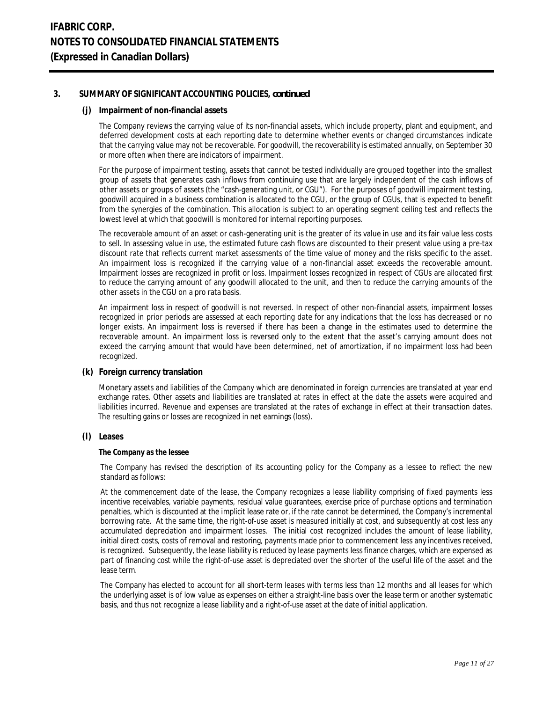#### **(j) Impairment of non-financial assets**

The Company reviews the carrying value of its non-financial assets, which include property, plant and equipment, and deferred development costs at each reporting date to determine whether events or changed circumstances indicate that the carrying value may not be recoverable. For goodwill, the recoverability is estimated annually, on September 30 or more often when there are indicators of impairment.

For the purpose of impairment testing, assets that cannot be tested individually are grouped together into the smallest group of assets that generates cash inflows from continuing use that are largely independent of the cash inflows of other assets or groups of assets (the "cash-generating unit, or CGU"). For the purposes of goodwill impairment testing, goodwill acquired in a business combination is allocated to the CGU, or the group of CGUs, that is expected to benefit from the synergies of the combination. This allocation is subject to an operating segment ceiling test and reflects the lowest level at which that goodwill is monitored for internal reporting purposes.

The recoverable amount of an asset or cash-generating unit is the greater of its value in use and its fair value less costs to sell. In assessing value in use, the estimated future cash flows are discounted to their present value using a pre-tax discount rate that reflects current market assessments of the time value of money and the risks specific to the asset. An impairment loss is recognized if the carrying value of a non-financial asset exceeds the recoverable amount. Impairment losses are recognized in profit or loss. Impairment losses recognized in respect of CGUs are allocated first to reduce the carrying amount of any goodwill allocated to the unit, and then to reduce the carrying amounts of the other assets in the CGU on a pro rata basis.

An impairment loss in respect of goodwill is not reversed. In respect of other non-financial assets, impairment losses recognized in prior periods are assessed at each reporting date for any indications that the loss has decreased or no longer exists. An impairment loss is reversed if there has been a change in the estimates used to determine the recoverable amount. An impairment loss is reversed only to the extent that the asset's carrying amount does not exceed the carrying amount that would have been determined, net of amortization, if no impairment loss had been recognized.

#### **(k) Foreign currency translation**

 Monetary assets and liabilities of the Company which are denominated in foreign currencies are translated at year end exchange rates. Other assets and liabilities are translated at rates in effect at the date the assets were acquired and liabilities incurred. Revenue and expenses are translated at the rates of exchange in effect at their transaction dates. The resulting gains or losses are recognized in net earnings (loss).

### **(l) Leases**

#### **The Company as the lessee**

The Company has revised the description of its accounting policy for the Company as a lessee to reflect the new standard as follows:

At the commencement date of the lease, the Company recognizes a lease liability comprising of fixed payments less incentive receivables, variable payments, residual value guarantees, exercise price of purchase options and termination penalties, which is discounted at the implicit lease rate or, if the rate cannot be determined, the Company's incremental borrowing rate. At the same time, the right-of-use asset is measured initially at cost, and subsequently at cost less any accumulated depreciation and impairment losses. The initial cost recognized includes the amount of lease liability, initial direct costs, costs of removal and restoring, payments made prior to commencement less any incentives received, is recognized. Subsequently, the lease liability is reduced by lease payments less finance charges, which are expensed as part of financing cost while the right-of-use asset is depreciated over the shorter of the useful life of the asset and the lease term.

The Company has elected to account for all short-term leases with terms less than 12 months and all leases for which the underlying asset is of low value as expenses on either a straight-line basis over the lease term or another systematic basis, and thus not recognize a lease liability and a right-of-use asset at the date of initial application.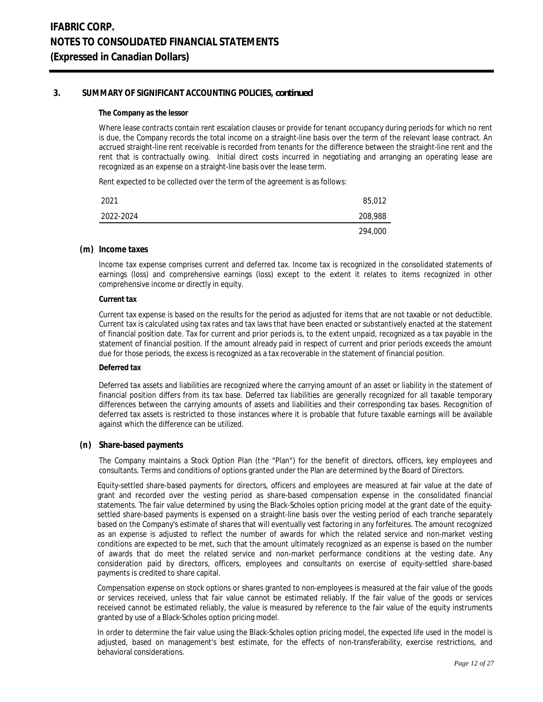#### **The Company as the lessor**

Where lease contracts contain rent escalation clauses or provide for tenant occupancy during periods for which no rent is due, the Company records the total income on a straight-line basis over the term of the relevant lease contract. An accrued straight-line rent receivable is recorded from tenants for the difference between the straight-line rent and the rent that is contractually owing. Initial direct costs incurred in negotiating and arranging an operating lease are recognized as an expense on a straight-line basis over the lease term.

Rent expected to be collected over the term of the agreement is as follows:

| 2022-2024 | 208,988 |
|-----------|---------|
|           | 294.000 |

#### **(m) Income taxes**

Income tax expense comprises current and deferred tax. Income tax is recognized in the consolidated statements of earnings (loss) and comprehensive earnings (loss) except to the extent it relates to items recognized in other comprehensive income or directly in equity.

#### **Current tax**

Current tax expense is based on the results for the period as adjusted for items that are not taxable or not deductible. Current tax is calculated using tax rates and tax laws that have been enacted or substantively enacted at the statement of financial position date. Tax for current and prior periods is, to the extent unpaid, recognized as a tax payable in the statement of financial position. If the amount already paid in respect of current and prior periods exceeds the amount due for those periods, the excess is recognized as a tax recoverable in the statement of financial position.

#### **Deferred tax**

Deferred tax assets and liabilities are recognized where the carrying amount of an asset or liability in the statement of financial position differs from its tax base. Deferred tax liabilities are generally recognized for all taxable temporary differences between the carrying amounts of assets and liabilities and their corresponding tax bases. Recognition of deferred tax assets is restricted to those instances where it is probable that future taxable earnings will be available against which the difference can be utilized.

#### **(n) Share-based payments**

The Company maintains a Stock Option Plan (the "Plan") for the benefit of directors, officers, key employees and consultants. Terms and conditions of options granted under the Plan are determined by the Board of Directors.

Equity-settled share-based payments for directors, officers and employees are measured at fair value at the date of grant and recorded over the vesting period as share-based compensation expense in the consolidated financial statements. The fair value determined by using the Black-Scholes option pricing model at the grant date of the equitysettled share-based payments is expensed on a straight-line basis over the vesting period of each tranche separately based on the Company's estimate of shares that will eventually vest factoring in any forfeitures. The amount recognized as an expense is adjusted to reflect the number of awards for which the related service and non-market vesting conditions are expected to be met, such that the amount ultimately recognized as an expense is based on the number of awards that do meet the related service and non-market performance conditions at the vesting date. Any consideration paid by directors, officers, employees and consultants on exercise of equity-settled share-based payments is credited to share capital.

Compensation expense on stock options or shares granted to non-employees is measured at the fair value of the goods or services received, unless that fair value cannot be estimated reliably. If the fair value of the goods or services received cannot be estimated reliably, the value is measured by reference to the fair value of the equity instruments granted by use of a Black-Scholes option pricing model.

In order to determine the fair value using the Black-Scholes option pricing model, the expected life used in the model is adjusted, based on management's best estimate, for the effects of non-transferability, exercise restrictions, and behavioral considerations.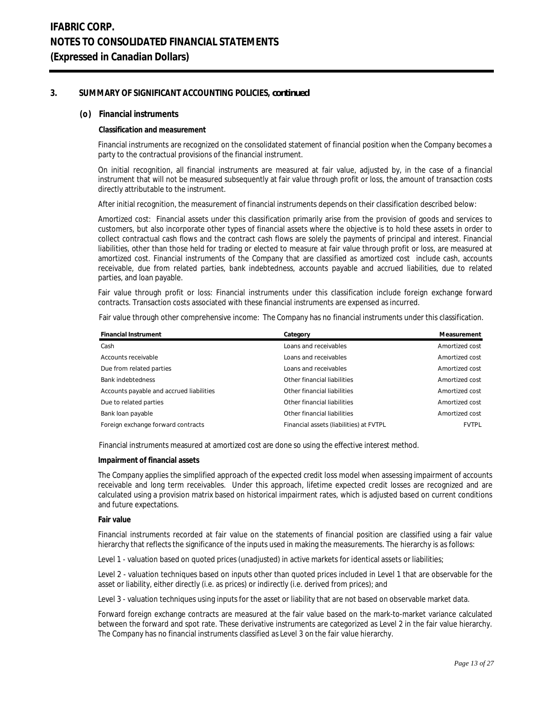#### **(o) Financial instruments**

**Classification and measurement**

Financial instruments are recognized on the consolidated statement of financial position when the Company becomes a party to the contractual provisions of the financial instrument.

On initial recognition, all financial instruments are measured at fair value, adjusted by, in the case of a financial instrument that will not be measured subsequently at fair value through profit or loss, the amount of transaction costs directly attributable to the instrument.

After initial recognition, the measurement of financial instruments depends on their classification described below:

Amortized cost: Financial assets under this classification primarily arise from the provision of goods and services to customers, but also incorporate other types of financial assets where the objective is to hold these assets in order to collect contractual cash flows and the contract cash flows are solely the payments of principal and interest. Financial liabilities, other than those held for trading or elected to measure at fair value through profit or loss, are measured at amortized cost. Financial instruments of the Company that are classified as amortized cost include cash, accounts receivable, due from related parties, bank indebtedness, accounts payable and accrued liabilities, due to related parties, and loan payable.

Fair value through profit or loss: Financial instruments under this classification include foreign exchange forward contracts. Transaction costs associated with these financial instruments are expensed as incurred.

Fair value through other comprehensive income: The Company has no financial instruments under this classification.

| Financial Instrument                     | Category                                | Measurement    |
|------------------------------------------|-----------------------------------------|----------------|
| Cash                                     | Loans and receivables                   | Amortized cost |
| Accounts receivable                      | Loans and receivables                   | Amortized cost |
| Due from related parties                 | Loans and receivables                   | Amortized cost |
| <b>Bank indebtedness</b>                 | Other financial liabilities             | Amortized cost |
| Accounts payable and accrued liabilities | Other financial liabilities             | Amortized cost |
| Due to related parties                   | Other financial liabilities             | Amortized cost |
| Bank loan payable                        | Other financial liabilities             | Amortized cost |
| Foreign exchange forward contracts       | Financial assets (liabilities) at FVTPL | <b>FVTPL</b>   |

Financial instruments measured at amortized cost are done so using the effective interest method.

**Impairment of financial assets**

The Company applies the simplified approach of the expected credit loss model when assessing impairment of accounts receivable and long term receivables. Under this approach, lifetime expected credit losses are recognized and are calculated using a provision matrix based on historical impairment rates, which is adjusted based on current conditions and future expectations.

#### **Fair value**

Financial instruments recorded at fair value on the statements of financial position are classified using a fair value hierarchy that reflects the significance of the inputs used in making the measurements. The hierarchy is as follows:

Level 1 - valuation based on quoted prices (unadjusted) in active markets for identical assets or liabilities;

Level 2 - valuation techniques based on inputs other than quoted prices included in Level 1 that are observable for the asset or liability, either directly (i.e. as prices) or indirectly (i.e. derived from prices); and

Level 3 - valuation techniques using inputs for the asset or liability that are not based on observable market data.

Forward foreign exchange contracts are measured at the fair value based on the mark-to-market variance calculated between the forward and spot rate. These derivative instruments are categorized as Level 2 in the fair value hierarchy. The Company has no financial instruments classified as Level 3 on the fair value hierarchy.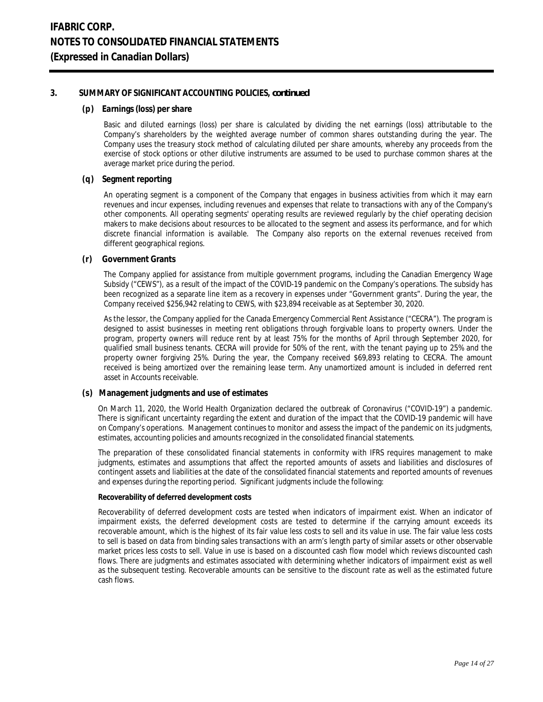### **(p) Earnings (loss) per share**

Basic and diluted earnings (loss) per share is calculated by dividing the net earnings (loss) attributable to the Company's shareholders by the weighted average number of common shares outstanding during the year. The Company uses the treasury stock method of calculating diluted per share amounts, whereby any proceeds from the exercise of stock options or other dilutive instruments are assumed to be used to purchase common shares at the average market price during the period.

### **(q) Segment reporting**

An operating segment is a component of the Company that engages in business activities from which it may earn revenues and incur expenses, including revenues and expenses that relate to transactions with any of the Company's other components. All operating segments' operating results are reviewed regularly by the chief operating decision makers to make decisions about resources to be allocated to the segment and assess its performance, and for which discrete financial information is available. The Company also reports on the external revenues received from different geographical regions.

### **(r) Government Grants**

The Company applied for assistance from multiple government programs, including the Canadian Emergency Wage Subsidy ("CEWS"), as a result of the impact of the COVID-19 pandemic on the Company's operations. The subsidy has been recognized as a separate line item as a recovery in expenses under "Government grants". During the year, the Company received \$256,942 relating to CEWS, with \$23,894 receivable as at September 30, 2020.

As the lessor, the Company applied for the Canada Emergency Commercial Rent Assistance ("CECRA"). The program is designed to assist businesses in meeting rent obligations through forgivable loans to property owners. Under the program, property owners will reduce rent by at least 75% for the months of April through September 2020, for qualified small business tenants. CECRA will provide for 50% of the rent, with the tenant paying up to 25% and the property owner forgiving 25%. During the year, the Company received \$69,893 relating to CECRA. The amount received is being amortized over the remaining lease term. Any unamortized amount is included in deferred rent asset in Accounts receivable.

### **(s) Management judgments and use of estimates**

On March 11, 2020, the World Health Organization declared the outbreak of Coronavirus ("COVID-19") a pandemic. There is significant uncertainty regarding the extent and duration of the impact that the COVID-19 pandemic will have on Company's operations. Management continues to monitor and assess the impact of the pandemic on its judgments, estimates, accounting policies and amounts recognized in the consolidated financial statements.

The preparation of these consolidated financial statements in conformity with IFRS requires management to make judgments, estimates and assumptions that affect the reported amounts of assets and liabilities and disclosures of contingent assets and liabilities at the date of the consolidated financial statements and reported amounts of revenues and expenses during the reporting period. Significant judgments include the following:

### **Recoverability of deferred development costs**

Recoverability of deferred development costs are tested when indicators of impairment exist. When an indicator of impairment exists, the deferred development costs are tested to determine if the carrying amount exceeds its recoverable amount, which is the highest of its fair value less costs to sell and its value in use. The fair value less costs to sell is based on data from binding sales transactions with an arm's length party of similar assets or other observable market prices less costs to sell. Value in use is based on a discounted cash flow model which reviews discounted cash flows. There are judgments and estimates associated with determining whether indicators of impairment exist as well as the subsequent testing. Recoverable amounts can be sensitive to the discount rate as well as the estimated future cash flows.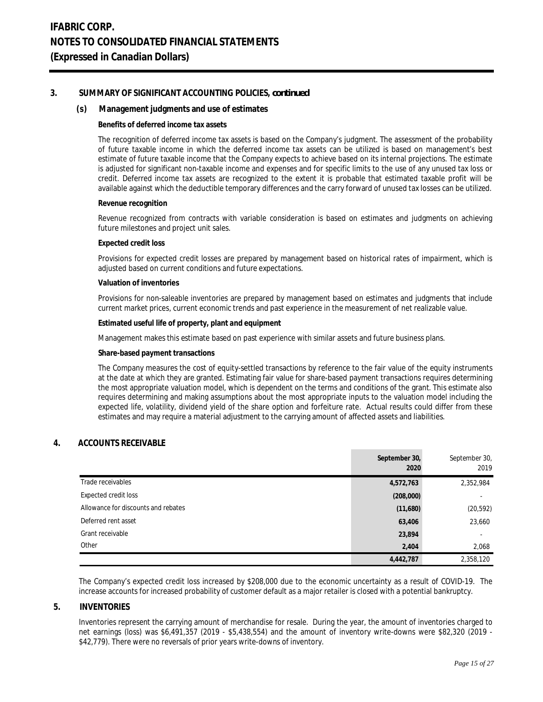### **(s) Management judgments and use of estimates**

**Benefits of deferred income tax assets**

The recognition of deferred income tax assets is based on the Company's judgment. The assessment of the probability of future taxable income in which the deferred income tax assets can be utilized is based on management's best estimate of future taxable income that the Company expects to achieve based on its internal projections. The estimate is adjusted for significant non-taxable income and expenses and for specific limits to the use of any unused tax loss or credit. Deferred income tax assets are recognized to the extent it is probable that estimated taxable profit will be available against which the deductible temporary differences and the carry forward of unused tax losses can be utilized.

#### **Revenue recognition**

Revenue recognized from contracts with variable consideration is based on estimates and judgments on achieving future milestones and project unit sales.

#### **Expected credit loss**

Provisions for expected credit losses are prepared by management based on historical rates of impairment, which is adjusted based on current conditions and future expectations.

#### **Valuation of inventories**

Provisions for non-saleable inventories are prepared by management based on estimates and judgments that include current market prices, current economic trends and past experience in the measurement of net realizable value.

**Estimated useful life of property, plant and equipment**

Management makes this estimate based on past experience with similar assets and future business plans.

**Share-based payment transactions**

The Company measures the cost of equity-settled transactions by reference to the fair value of the equity instruments at the date at which they are granted. Estimating fair value for share-based payment transactions requires determining the most appropriate valuation model, which is dependent on the terms and conditions of the grant. This estimate also requires determining and making assumptions about the most appropriate inputs to the valuation model including the expected life, volatility, dividend yield of the share option and forfeiture rate. Actual results could differ from these estimates and may require a material adjustment to the carrying amount of affected assets and liabilities.

### **4. ACCOUNTS RECEIVABLE**

|                                     | September 30,<br>2020 | September 30,<br>2019 |
|-------------------------------------|-----------------------|-----------------------|
| Trade receivables                   | 4,572,763             | 2,352,984             |
| Expected credit loss                | (208,000)             |                       |
| Allowance for discounts and rebates | (11,680)              | (20, 592)             |
| Deferred rent asset                 | 63,406                | 23,660                |
| Grant receivable                    | 23,894                |                       |
| Other                               | 2,404                 | 2,068                 |
|                                     | 4,442,787             | 2,358,120             |

The Company's expected credit loss increased by \$208,000 due to the economic uncertainty as a result of COVID-19. The increase accounts for increased probability of customer default as a major retailer is closed with a potential bankruptcy.

#### **5. INVENTORIES**

Inventories represent the carrying amount of merchandise for resale. During the year, the amount of inventories charged to net earnings (loss) was \$6,491,357 (2019 - \$5,438,554) and the amount of inventory write-downs were \$82,320 (2019 - \$42,779). There were no reversals of prior years write-downs of inventory.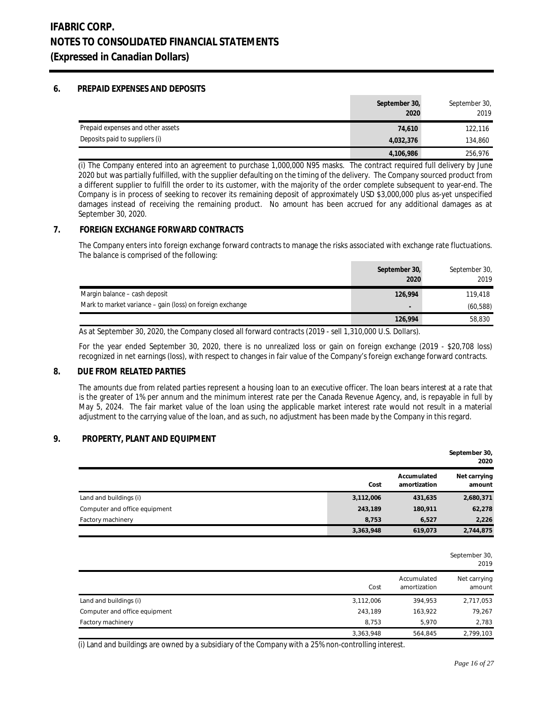# **IFABRIC CORP. NOTES TO CONSOLIDATED FINANCIAL STATEMENTS (Expressed in Canadian Dollars)**

## **6. PREPAID EXPENSES AND DEPOSITS**

|                                   | September 30,<br>2020 | September 30,<br>2019 |
|-----------------------------------|-----------------------|-----------------------|
| Prepaid expenses and other assets | 74,610                | 122,116               |
| Deposits paid to suppliers (i)    | 4,032,376             | 134,860               |
|                                   | 4,106,986             | 256,976               |

(i) The Company entered into an agreement to purchase 1,000,000 N95 masks. The contract required full delivery by June 2020 but was partially fulfilled, with the supplier defaulting on the timing of the delivery. The Company sourced product from a different supplier to fulfill the order to its customer, with the majority of the order complete subsequent to year-end. The Company is in process of seeking to recover its remaining deposit of approximately USD \$3,000,000 plus as-yet unspecified damages instead of receiving the remaining product. No amount has been accrued for any additional damages as at September 30, 2020.

# **7. FOREIGN EXCHANGE FORWARD CONTRACTS**

The Company enters into foreign exchange forward contracts to manage the risks associated with exchange rate fluctuations. The balance is comprised of the following:

|                                                           | September 30,<br>2020    | September 30,<br>2019 |
|-----------------------------------------------------------|--------------------------|-----------------------|
| Margin balance – cash deposit                             | 126.994                  | 119,418               |
| Mark to market variance - gain (loss) on foreign exchange | $\overline{\phantom{0}}$ | (60, 588)             |
|                                                           | 126.994                  | 58,830                |
| $\lambda$ $=$ $\lambda$ $=$<br>.<br>.<br>--------<br>-    | .                        |                       |

As at September 30, 2020, the Company closed all forward contracts (2019 - sell 1,310,000 U.S. Dollars).

For the year ended September 30, 2020, there is no unrealized loss or gain on foreign exchange (2019 - \$20,708 loss) recognized in net earnings (loss), with respect to changes in fair value of the Company's foreign exchange forward contracts.

### **8. DUE FROM RELATED PARTIES**

The amounts due from related parties represent a housing loan to an executive officer. The loan bears interest at a rate that is the greater of 1% per annum and the minimum interest rate per the Canada Revenue Agency, and, is repayable in full by May 5, 2024. The fair market value of the loan using the applicable market interest rate would not result in a material adjustment to the carrying value of the loan, and as such, no adjustment has been made by the Company in this regard.

# **9. PROPERTY, PLANT AND EQUIPMENT**

|                               |           |                             | September 30,<br>2020  |
|-------------------------------|-----------|-----------------------------|------------------------|
|                               | Cost      | Accumulated<br>amortization | Net carrying<br>amount |
| Land and buildings (i)        | 3,112,006 | 431,635                     | 2,680,371              |
| Computer and office equipment | 243,189   | 180,911                     | 62,278                 |
| Factory machinery             | 8,753     | 6.527                       | 2,226                  |
|                               | 3,363,948 | 619,073                     | 2,744,875              |
|                               |           |                             |                        |

|                               |           |                             | September 30,<br>2019  |
|-------------------------------|-----------|-----------------------------|------------------------|
|                               | Cost      | Accumulated<br>amortization | Net carrying<br>amount |
| Land and buildings (i)        | 3,112,006 | 394,953                     | 2,717,053              |
| Computer and office equipment | 243,189   | 163,922                     | 79,267                 |
| Factory machinery             | 8,753     | 5.970                       | 2,783                  |
|                               | 3,363,948 | 564,845                     | 2,799,103              |

(i) Land and buildings are owned by a subsidiary of the Company with a 25% non-controlling interest.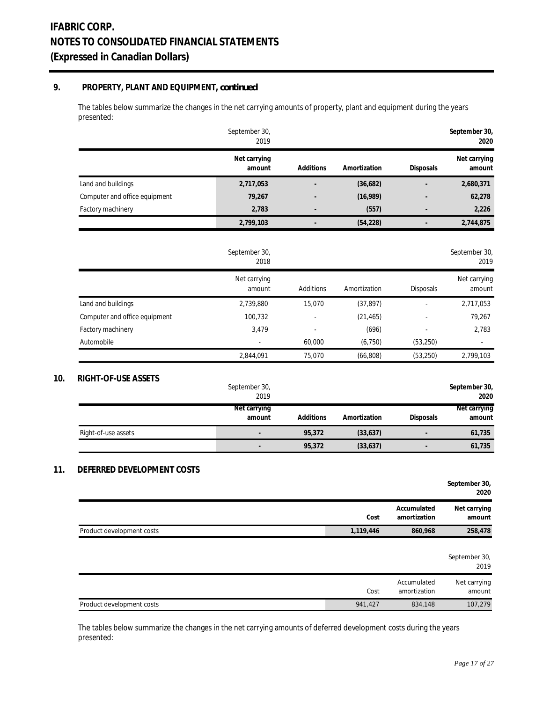# **9. PROPERTY, PLANT AND EQUIPMENT,** *continued*

The tables below summarize the changes in the net carrying amounts of property, plant and equipment during the years presented:

|                               | September 30,<br>2019  |           |              |                             | September 30,<br>2020  |
|-------------------------------|------------------------|-----------|--------------|-----------------------------|------------------------|
|                               | Net carrying<br>amount | Additions | Amortization | Disposals                   | Net carrying<br>amount |
| Land and buildings            | 2,717,053              |           | (36,682)     |                             | 2,680,371              |
| Computer and office equipment | 79,267                 |           | (16,989)     |                             | 62,278                 |
| Factory machinery             | 2,783                  |           | (557)        |                             | 2,226                  |
|                               | 2,799,103              |           | (54, 228)    |                             | 2,744,875              |
|                               | September 30,<br>2018  |           |              |                             | September 30,<br>2019  |
|                               | Net carrying<br>amount | Additions | Amortization | Disposals                   | Net carrying<br>amount |
| Land and buildings            | 2,739,880              | 15,070    | (37, 897)    | ÷,                          | 2,717,053              |
| Computer and office equipment | 100,732                |           | (21, 465)    |                             | 79,267                 |
| Factory machinery             | 3,479                  |           | (696)        |                             | 2,783                  |
| Automobile                    |                        | 60,000    | (6, 750)     | (53, 250)                   |                        |
|                               | 2,844,091              | 75,070    | (66, 808)    | (53, 250)                   | 2,799,103              |
| RIGHT-OF-USE ASSETS           | September 30,<br>2019  |           |              |                             | September 30,<br>2020  |
|                               | Net carrying<br>amount | Additions | Amortization | Disposals                   | Net carrying<br>amount |
| Right-of-use assets           |                        | 95,372    | (33, 637)    |                             | 61,735                 |
|                               |                        | 95,372    | (33, 637)    |                             | 61,735                 |
| DEFERRED DEVELOPMENT COSTS    |                        |           |              |                             | September 30,<br>2020  |
|                               |                        |           | Cost         | Accumulated<br>amortization | Net carrying<br>amount |
| Product development costs     |                        |           | 1,119,446    | 860,968                     | 258,478                |
|                               |                        |           |              |                             | September 30,<br>2019  |
|                               |                        |           | Cost         | Accumulated<br>amortization | Net carrying<br>amount |
| Product development costs     |                        |           | 941,427      | 834,148                     | 107,279                |

The tables below summarize the changes in the net carrying amounts of deferred development costs during the years presented: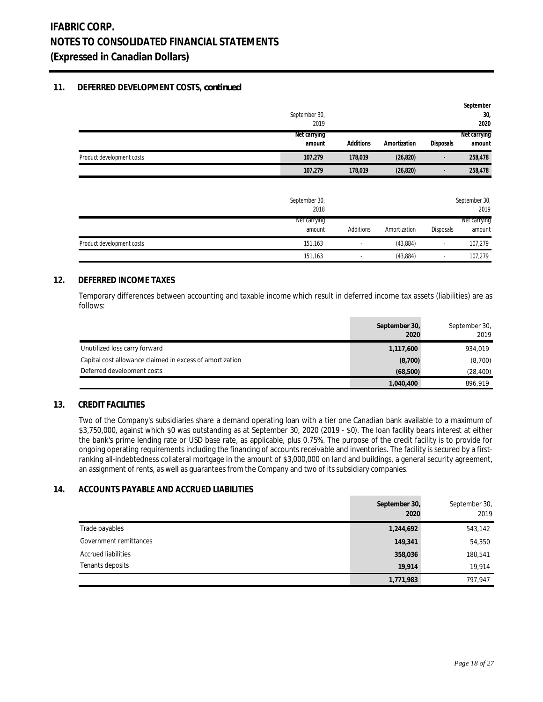# **11. DEFERRED DEVELOPMENT COSTS,** *continued*

|                           |               |           |              |                  | September    |
|---------------------------|---------------|-----------|--------------|------------------|--------------|
|                           | September 30, |           |              |                  | 30,          |
|                           | 2019          |           |              |                  | 2020         |
|                           | Net carrying  |           |              |                  | Net carrying |
|                           | amount        | Additions | Amortization | <b>Disposals</b> | amount       |
| Product development costs | 107.279       | 178.019   | (26, 820)    |                  | 258,478      |
|                           | 107,279       | 178,019   | (26, 820)    |                  | 258,478      |

|                           | September 30,<br>2018  |           |              |                  | September 30,<br>2019  |
|---------------------------|------------------------|-----------|--------------|------------------|------------------------|
|                           | Net carrying<br>amount | Additions | Amortization | <b>Disposals</b> | Net carrying<br>amount |
| Product development costs | 151.163                |           | (43, 884)    |                  | 107.279                |
|                           | 151,163                | ۰         | (43, 884)    | ٠.               | 107,279                |

# **12. DEFERRED INCOME TAXES**

Temporary differences between accounting and taxable income which result in deferred income tax assets (liabilities) are as follows:

|                                                          | September 30,<br>2020 | September 30,<br>2019 |
|----------------------------------------------------------|-----------------------|-----------------------|
| Unutilized loss carry forward                            | 1,117,600             | 934,019               |
| Capital cost allowance claimed in excess of amortization | (8,700)               | (8,700)               |
| Deferred development costs                               | (68,500)              | (28, 400)             |
|                                                          | 1,040,400             | 896.919               |

# **13. CREDIT FACILITIES**

Two of the Company's subsidiaries share a demand operating loan with a tier one Canadian bank available to a maximum of \$3,750,000, against which \$0 was outstanding as at September 30, 2020 (2019 - \$0). The loan facility bears interest at either the bank's prime lending rate or USD base rate, as applicable, plus 0.75%. The purpose of the credit facility is to provide for ongoing operating requirements including the financing of accounts receivable and inventories. The facility is secured by a firstranking all-indebtedness collateral mortgage in the amount of \$3,000,000 on land and buildings, a general security agreement, an assignment of rents, as well as guarantees from the Company and two of its subsidiary companies.

# **14. ACCOUNTS PAYABLE AND ACCRUED LIABILITIES**

|                            | September 30,<br>2020 | September 30,<br>2019 |
|----------------------------|-----------------------|-----------------------|
| Trade payables             | 1,244,692             | 543,142               |
| Government remittances     | 149,341               | 54,350                |
| <b>Accrued liabilities</b> | 358,036               | 180,541               |
| Tenants deposits           | 19.914                | 19,914                |
|                            | 1,771,983             | 797,947               |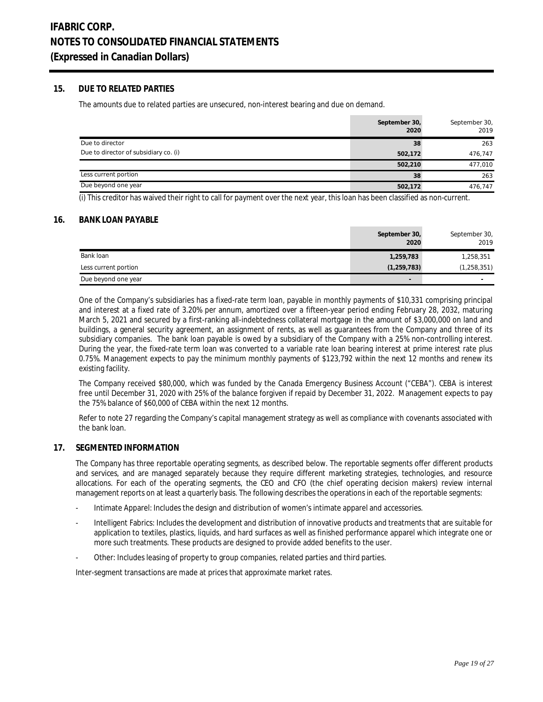# **15. DUE TO RELATED PARTIES**

The amounts due to related parties are unsecured, non-interest bearing and due on demand.

|                                       | September 30,<br>2020 | September 30,<br>2019 |
|---------------------------------------|-----------------------|-----------------------|
| Due to director                       | 38                    | 263                   |
| Due to director of subsidiary co. (i) | 502,172               | 476.747               |
|                                       | 502,210               | 477,010               |
| Less current portion                  | 38                    | 263                   |
| Due beyond one year                   | 502,172               | 476,747               |

(i) This creditor has waived their right to call for payment over the next year, this loan has been classified as non-current.

### **16. BANK LOAN PAYABLE**

|                      | September 30,<br>2020        | September 30,<br>2019 |
|----------------------|------------------------------|-----------------------|
| Bank Ioan            | 1,259,783                    | 1,258,351             |
| Less current portion | (1, 259, 783)                | (1, 258, 351)         |
| Due beyond one year  | $\qquad \qquad \blacksquare$ | ٠                     |

One of the Company's subsidiaries has a fixed-rate term loan, payable in monthly payments of \$10,331 comprising principal and interest at a fixed rate of 3.20% per annum, amortized over a fifteen-year period ending February 28, 2032, maturing March 5, 2021 and secured by a first-ranking all-indebtedness collateral mortgage in the amount of \$3,000,000 on land and buildings, a general security agreement, an assignment of rents, as well as guarantees from the Company and three of its subsidiary companies. The bank loan payable is owed by a subsidiary of the Company with a 25% non-controlling interest. During the year, the fixed-rate term loan was converted to a variable rate loan bearing interest at prime interest rate plus 0.75%. Management expects to pay the minimum monthly payments of \$123,792 within the next 12 months and renew its existing facility.

The Company received \$80,000, which was funded by the Canada Emergency Business Account ("CEBA"). CEBA is interest free until December 31, 2020 with 25% of the balance forgiven if repaid by December 31, 2022. Management expects to pay the 75% balance of \$60,000 of CEBA within the next 12 months.

Refer to note 27 regarding the Company's capital management strategy as well as compliance with covenants associated with the bank loan.

### **17. SEGMENTED INFORMATION**

The Company has three reportable operating segments, as described below. The reportable segments offer different products and services, and are managed separately because they require different marketing strategies, technologies, and resource allocations. For each of the operating segments, the CEO and CFO (the chief operating decision makers) review internal management reports on at least a quarterly basis. The following describes the operations in each of the reportable segments:

- Intimate Apparel: Includes the design and distribution of women's intimate apparel and accessories.
- Intelligent Fabrics: Includes the development and distribution of innovative products and treatments that are suitable for application to textiles, plastics, liquids, and hard surfaces as well as finished performance apparel which integrate one or more such treatments. These products are designed to provide added benefits to the user.
- Other: Includes leasing of property to group companies, related parties and third parties.

Inter-segment transactions are made at prices that approximate market rates.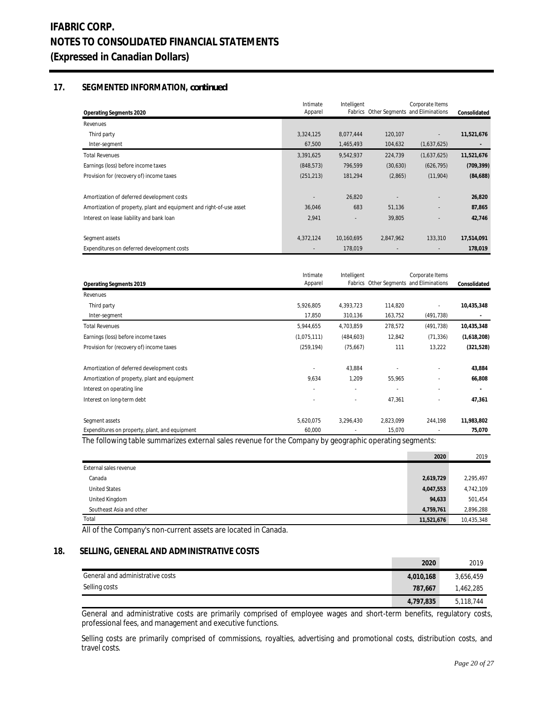# **IFABRIC CORP. NOTES TO CONSOLIDATED FINANCIAL STATEMENTS (Expressed in Canadian Dollars)**

# **17. SEGMENTED INFORMATION,** *continued*

| Operating Segments 2020                                              | Intimate<br>Apparel | Intelligent |           | Corporate Items<br>Fabrics Other Segments and Eliminations | Consolidated |
|----------------------------------------------------------------------|---------------------|-------------|-----------|------------------------------------------------------------|--------------|
| Revenues                                                             |                     |             |           |                                                            |              |
| Third party                                                          | 3,324,125           | 8,077,444   | 120,107   | $\overline{\phantom{a}}$                                   | 11,521,676   |
| Inter-segment                                                        | 67,500              | 1,465,493   | 104,632   | (1,637,625)                                                |              |
| <b>Total Revenues</b>                                                | 3,391,625           | 9,542,937   | 224,739   | (1,637,625)                                                | 11,521,676   |
| Earnings (loss) before income taxes                                  | (848, 573)          | 796,599     | (30,630)  | (626, 795)                                                 | (709, 399)   |
| Provision for (recovery of) income taxes                             | (251, 213)          | 181,294     | (2,865)   | (11,904)                                                   | (84, 688)    |
|                                                                      |                     |             |           |                                                            |              |
| Amortization of deferred development costs                           | ۰                   | 26,820      |           | ٠                                                          | 26,820       |
| Amortization of property, plant and equipment and right-of-use asset | 36,046              | 683         | 51,136    |                                                            | 87,865       |
| Interest on lease liability and bank loan                            | 2,941               | ٠           | 39,805    |                                                            | 42,746       |
|                                                                      |                     |             |           |                                                            |              |
| Segment assets                                                       | 4,372,124           | 10,160,695  | 2,847,962 | 133,310                                                    | 17,514,091   |
| Expenditures on deferred development costs                           |                     | 178,019     |           |                                                            | 178,019      |

| Operating Segments 2019                        | Intimate<br>Apparel | Intelligent |           | Corporate Items<br>Fabrics Other Segments and Eliminations | Consolidated |
|------------------------------------------------|---------------------|-------------|-----------|------------------------------------------------------------|--------------|
| Revenues                                       |                     |             |           |                                                            |              |
| Third party                                    | 5,926,805           | 4,393,723   | 114,820   | ٠                                                          | 10,435,348   |
| Inter-segment                                  | 17,850              | 310,136     | 163,752   | (491, 738)                                                 |              |
| <b>Total Revenues</b>                          | 5,944,655           | 4,703,859   | 278,572   | (491, 738)                                                 | 10,435,348   |
| Earnings (loss) before income taxes            | (1,075,111)         | (484, 603)  | 12,842    | (71, 336)                                                  | (1,618,208)  |
| Provision for (recovery of) income taxes       | (259, 194)          | (75,667)    | 111       | 13,222                                                     | (321, 528)   |
| Amortization of deferred development costs     |                     | 43,884      |           |                                                            | 43,884       |
| Amortization of property, plant and equipment  | 9,634               | 1,209       | 55,965    |                                                            | 66,808       |
| Interest on operating line                     |                     |             |           |                                                            |              |
| Interest on long-term debt                     |                     | ٠           | 47,361    | ٠                                                          | 47,361       |
| Segment assets                                 | 5,620,075           | 3,296,430   | 2,823,099 | 244,198                                                    | 11,983,802   |
| Expenditures on property, plant, and equipment | 60,000              |             | 15,070    |                                                            | 75,070       |

The following table summarizes external sales revenue for the Company by geographic operating segments:

|                          | 2020       | 2019       |
|--------------------------|------------|------------|
| External sales revenue   |            |            |
| Canada                   | 2,619,729  | 2,295,497  |
| <b>United States</b>     | 4,047,553  | 4,742,109  |
| United Kingdom           | 94,633     | 501,454    |
| Southeast Asia and other | 4,759,761  | 2,896,288  |
| Total                    | 11,521,676 | 10,435,348 |

All of the Company's non-current assets are located in Canada.

# **18. SELLING, GENERAL AND ADMINISTRATIVE COSTS**

|                                  | 2020      | 2019      |
|----------------------------------|-----------|-----------|
| General and administrative costs | 4,010,168 | 3.656.459 |
| Selling costs                    | 787,667   | 1,462,285 |
|                                  | 4,797,835 | 5,118,744 |

General and administrative costs are primarily comprised of employee wages and short-term benefits, regulatory costs, professional fees, and management and executive functions.

Selling costs are primarily comprised of commissions, royalties, advertising and promotional costs, distribution costs, and travel costs.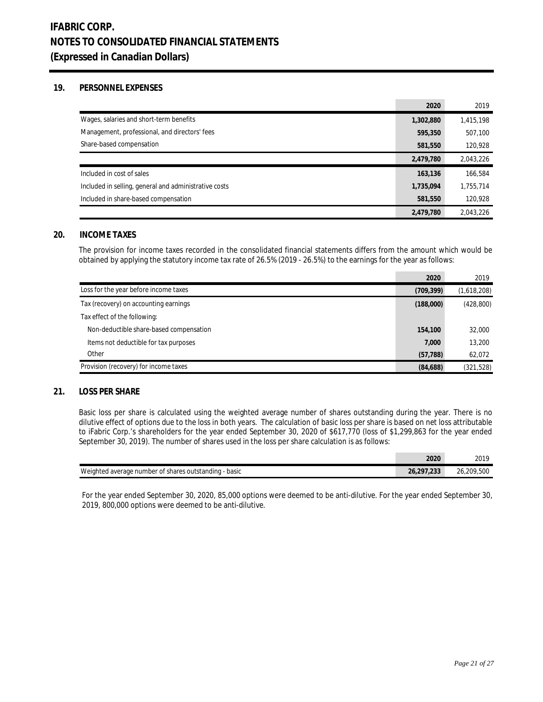# **IFABRIC CORP. NOTES TO CONSOLIDATED FINANCIAL STATEMENTS (Expressed in Canadian Dollars)**

# **19. PERSONNEL EXPENSES**

|                                                       | 2020      | 2019      |
|-------------------------------------------------------|-----------|-----------|
| Wages, salaries and short-term benefits               | 1,302,880 | 1,415,198 |
| Management, professional, and directors' fees         | 595,350   | 507,100   |
| Share-based compensation                              | 581,550   | 120,928   |
|                                                       | 2,479,780 | 2,043,226 |
| Included in cost of sales                             | 163,136   | 166,584   |
| Included in selling, general and administrative costs | 1,735,094 | 1,755,714 |
| Included in share-based compensation                  | 581.550   | 120,928   |
|                                                       | 2,479,780 | 2,043,226 |

# **20. INCOME TAXES**

The provision for income taxes recorded in the consolidated financial statements differs from the amount which would be obtained by applying the statutory income tax rate of 26.5% (2019 - 26.5%) to the earnings for the year as follows:

**COL** 

|                                         | 2020       | 2019        |
|-----------------------------------------|------------|-------------|
| Loss for the year before income taxes   | (709, 399) | (1,618,208) |
| Tax (recovery) on accounting earnings   | (188,000)  | (428, 800)  |
| Tax effect of the following:            |            |             |
| Non-deductible share-based compensation | 154,100    | 32,000      |
| Items not deductible for tax purposes   | 7.000      | 13,200      |
| Other                                   | (57, 788)  | 62,072      |
| Provision (recovery) for income taxes   | (84, 688)  | (321, 528)  |

### **21. LOSS PER SHARE**

Basic loss per share is calculated using the weighted average number of shares outstanding during the year. There is no dilutive effect of options due to the loss in both years. The calculation of basic loss per share is based on net loss attributable to iFabric Corp.'s shareholders for the year ended September 30, 2020 of \$617,770 (loss of \$1,299,863 for the year ended September 30, 2019). The number of shares used in the loss per share calculation is as follows:

|                                                                 | 2020                                     | 2019       |
|-----------------------------------------------------------------|------------------------------------------|------------|
| Weighted average number of shares outstanding - L<br>basic<br>. | $\sim$ $\sim$<br>207<br>20,291<br>ے بے ر | 26,209,500 |

For the year ended September 30, 2020, 85,000 options were deemed to be anti-dilutive. For the year ended September 30, 2019, 800,000 options were deemed to be anti-dilutive.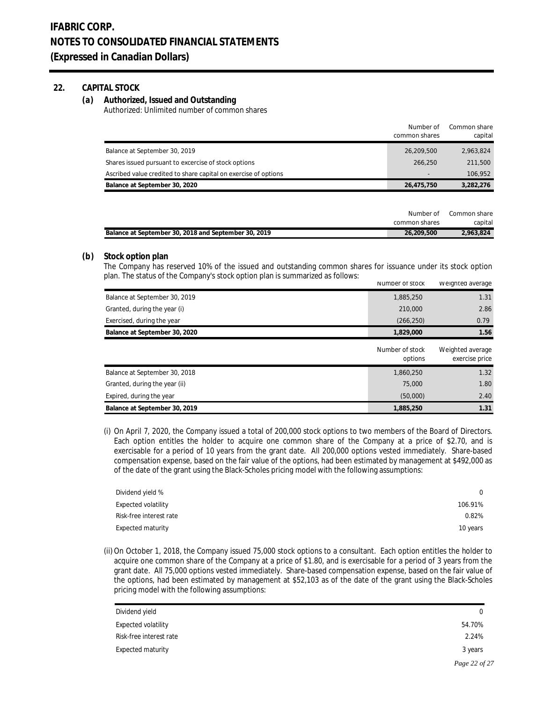# **22. CAPITAL STOCK**

**(a) Authorized, Issued and Outstanding** Authorized: Unlimited number of common shares

|                                                                 | Number of<br>common shares | Common share<br>capital |
|-----------------------------------------------------------------|----------------------------|-------------------------|
| Balance at September 30, 2019                                   | 26,209,500                 | 2,963,824               |
| Shares issued pursuant to excercise of stock options            | 266.250                    | 211.500                 |
| Ascribed value credited to share capital on exercise of options | ۰.                         | 106.952                 |
| Balance at September 30, 2020                                   | 26.475.750                 | 3,282,276               |
|                                                                 |                            |                         |

|                                                      | Number of     | Common share |
|------------------------------------------------------|---------------|--------------|
|                                                      | common shares | capital      |
| Balance at September 30, 2018 and September 30, 2019 | 26.209.500    | 2,963,824    |

### **(b) Stock option plan**

The Company has reserved 10% of the issued and outstanding common shares for issuance under its stock option plan. The status of the Company's stock option plan is summarized as follows:

|                               | Number of stock            | Weighted average                   |
|-------------------------------|----------------------------|------------------------------------|
| Balance at September 30, 2019 | 1,885,250                  | 1.31                               |
| Granted, during the year (i)  | 210,000                    | 2.86                               |
| Exercised, during the year    | (266, 250)                 | 0.79                               |
| Balance at September 30, 2020 | 1,829,000                  | 1.56                               |
|                               | Number of stock<br>options | Weighted average<br>exercise price |
| Balance at September 30, 2018 | 1,860,250                  | 1.32                               |
| Granted, during the year (ii) | 75,000                     | 1.80                               |
| Expired, during the year      | (50,000)                   | 2.40                               |
| Balance at September 30, 2019 | 1,885,250                  | 1.31                               |

(i) On April 7, 2020, the Company issued a total of 200,000 stock options to two members of the Board of Directors. Each option entitles the holder to acquire one common share of the Company at a price of \$2.70, and is exercisable for a period of 10 years from the grant date. All 200,000 options vested immediately. Share-based compensation expense, based on the fair value of the options, had been estimated by management at \$492,000 as of the date of the grant using the Black-Scholes pricing model with the following assumptions:

| Dividend yield %         | $\Omega$ |
|--------------------------|----------|
| Expected volatility      | 106.91%  |
| Risk-free interest rate  | 0.82%    |
| <b>Expected maturity</b> | 10 years |

(ii) On October 1, 2018, the Company issued 75,000 stock options to a consultant. Each option entitles the holder to acquire one common share of the Company at a price of \$1.80, and is exercisable for a period of 3 years from the grant date. All 75,000 options vested immediately. Share-based compensation expense, based on the fair value of the options, had been estimated by management at \$52,103 as of the date of the grant using the Black-Scholes pricing model with the following assumptions:

| Dividend yield           | $\Omega$      |
|--------------------------|---------------|
| Expected volatility      | 54.70%        |
| Risk-free interest rate  | 2.24%         |
| <b>Expected maturity</b> | 3 years       |
|                          | Page 22 of 27 |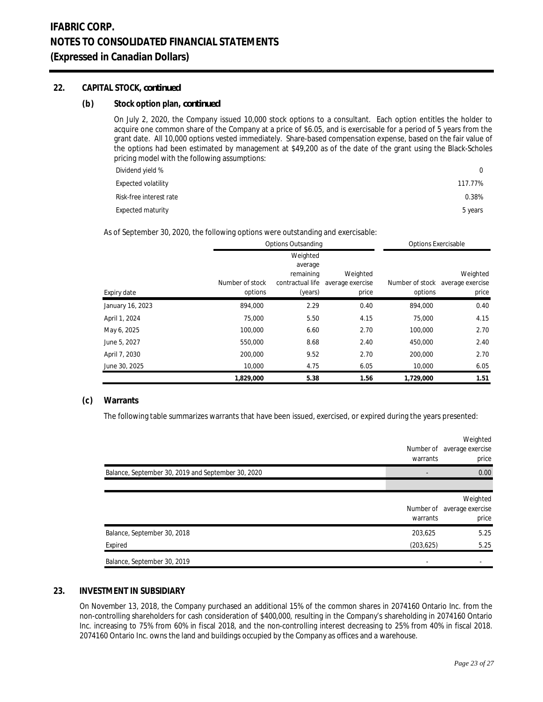## **22. CAPITAL STOCK,** *continued*

**(b) Stock option plan,** *continued*

On July 2, 2020, the Company issued 10,000 stock options to a consultant. Each option entitles the holder to acquire one common share of the Company at a price of \$6.05, and is exercisable for a period of 5 years from the grant date. All 10,000 options vested immediately. Share-based compensation expense, based on the fair value of the options had been estimated by management at \$49,200 as of the date of the grant using the Black-Scholes pricing model with the following assumptions:

| Dividend yield %         |         |
|--------------------------|---------|
| Expected volatility      | 117.77% |
| Risk-free interest rate  | 0.38%   |
| <b>Expected maturity</b> | 5 years |

#### As of September 30, 2020, the following options were outstanding and exercisable:

|                  | <b>Options Outsanding</b> |                     |                  | <b>Options Exercisable</b> |                                  |  |
|------------------|---------------------------|---------------------|------------------|----------------------------|----------------------------------|--|
|                  |                           | Weighted<br>average |                  |                            |                                  |  |
|                  |                           | remaining           | Weighted         |                            | Weighted                         |  |
|                  | Number of stock           | contractual life    | average exercise |                            | Number of stock average exercise |  |
| Expiry date      | options                   | (years)             | price            | options                    | price                            |  |
| January 16, 2023 | 894,000                   | 2.29                | 0.40             | 894.000                    | 0.40                             |  |
| April 1, 2024    | 75,000                    | 5.50                | 4.15             | 75,000                     | 4.15                             |  |
| May 6, 2025      | 100,000                   | 6.60                | 2.70             | 100,000                    | 2.70                             |  |
| June 5, 2027     | 550,000                   | 8.68                | 2.40             | 450,000                    | 2.40                             |  |
| April 7, 2030    | 200,000                   | 9.52                | 2.70             | 200.000                    | 2.70                             |  |
| June 30, 2025    | 10,000                    | 4.75                | 6.05             | 10,000                     | 6.05                             |  |
|                  | 1,829,000                 | 5.38                | 1.56             | 1,729,000                  | 1.51                             |  |

### **(c) Warrants**

The following table summarizes warrants that have been issued, exercised, or expired during the years presented:

|                                                    | warrants   | Weighted<br>Number of average exercise<br>price |
|----------------------------------------------------|------------|-------------------------------------------------|
| Balance, September 30, 2019 and September 30, 2020 |            | 0.00                                            |
|                                                    |            |                                                 |
|                                                    | warrants   | Weighted<br>Number of average exercise<br>price |
| Balance, September 30, 2018                        | 203,625    | 5.25                                            |
| Expired                                            | (203, 625) | 5.25                                            |
| Balance, September 30, 2019                        |            |                                                 |

### **23. INVESTMENT IN SUBSIDIARY**

On November 13, 2018, the Company purchased an additional 15% of the common shares in 2074160 Ontario Inc. from the non-controlling shareholders for cash consideration of \$400,000, resulting in the Company's shareholding in 2074160 Ontario Inc. increasing to 75% from 60% in fiscal 2018, and the non-controlling interest decreasing to 25% from 40% in fiscal 2018. 2074160 Ontario Inc. owns the land and buildings occupied by the Company as offices and a warehouse.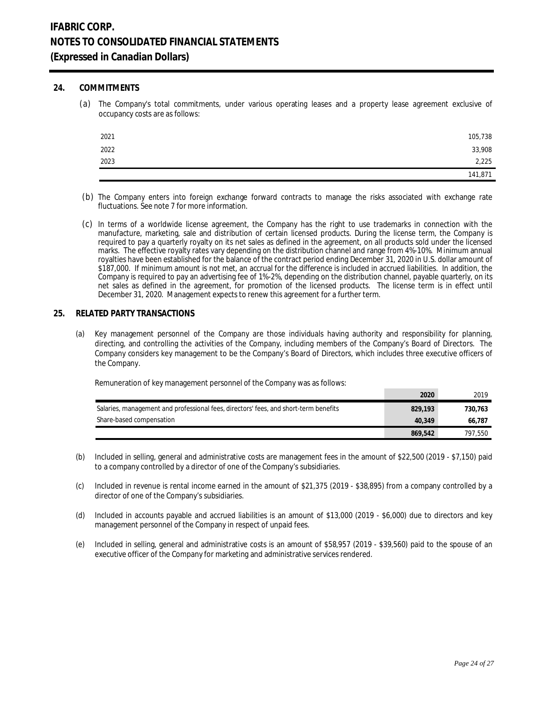# **24. COMMITMENTS**

(a) The Company's total commitments, under various operating leases and a property lease agreement exclusive of occupancy costs are as follows:

| 2021 | 105,738 |
|------|---------|
| 2022 | 33,908  |
| 2023 | 2,225   |
|      | 141,871 |

- (b) The Company enters into foreign exchange forward contracts to manage the risks associated with exchange rate fluctuations. See note 7 for more information.
- (c) In terms of a worldwide license agreement, the Company has the right to use trademarks in connection with the manufacture, marketing, sale and distribution of certain licensed products. During the license term, the Company is required to pay a quarterly royalty on its net sales as defined in the agreement, on all products sold under the licensed marks. The effective royalty rates vary depending on the distribution channel and range from 4%-10%. Minimum annual royalties have been established for the balance of the contract period ending December 31, 2020 in U.S. dollar amount of \$187,000. If minimum amount is not met, an accrual for the difference is included in accrued liabilities. In addition, the Company is required to pay an advertising fee of 1%-2%, depending on the distribution channel, payable quarterly, on its net sales as defined in the agreement, for promotion of the licensed products. The license term is in effect until December 31, 2020. Management expects to renew this agreement for a further term.

#### **25. RELATED PARTY TRANSACTIONS**

(a) Key management personnel of the Company are those individuals having authority and responsibility for planning, directing, and controlling the activities of the Company, including members of the Company's Board of Directors. The Company considers key management to be the Company's Board of Directors, which includes three executive officers of the Company.

Remuneration of key management personnel of the Company was as follows:

|                                                                                      | 2020    | 2019    |
|--------------------------------------------------------------------------------------|---------|---------|
| Salaries, management and professional fees, directors' fees, and short-term benefits | 829.193 | 730.763 |
| Share-based compensation                                                             | 40.349  | 66.787  |
|                                                                                      | 869.542 | 797.550 |

- (b) Included in selling, general and administrative costs are management fees in the amount of \$22,500 (2019 \$7,150) paid to a company controlled by a director of one of the Company's subsidiaries.
- (c) Included in revenue is rental income earned in the amount of \$21,375 (2019 \$38,895) from a company controlled by a director of one of the Company's subsidiaries.
- (d) Included in accounts payable and accrued liabilities is an amount of \$13,000 (2019 \$6,000) due to directors and key management personnel of the Company in respect of unpaid fees.
- (e) Included in selling, general and administrative costs is an amount of \$58,957 (2019 \$39,560) paid to the spouse of an executive officer of the Company for marketing and administrative services rendered.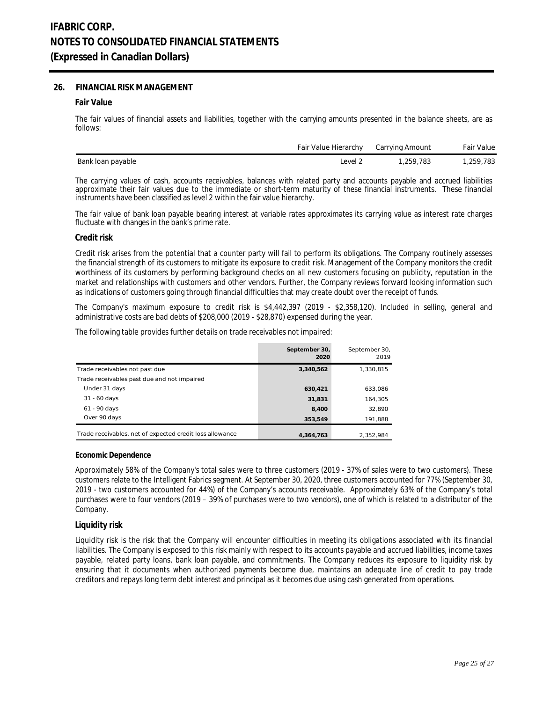## **26. FINANCIAL RISK MANAGEMENT**

#### **Fair Value**

The fair values of financial assets and liabilities, together with the carrying amounts presented in the balance sheets, are as follows:

|                   | Fair Value Hierarchy | Carrying Amount | <b>Fair Value</b> |
|-------------------|----------------------|-----------------|-------------------|
| Bank loan payable | Level 2              | 1,259,783       | .259.783          |

The carrying values of cash, accounts receivables, balances with related party and accounts payable and accrued liabilities approximate their fair values due to the immediate or short-term maturity of these financial instruments. These financial instruments have been classified as level 2 within the fair value hierarchy.

The fair value of bank loan payable bearing interest at variable rates approximates its carrying value as interest rate charges fluctuate with changes in the bank's prime rate.

#### **Credit risk**

Credit risk arises from the potential that a counter party will fail to perform its obligations. The Company routinely assesses the financial strength of its customers to mitigate its exposure to credit risk. Management of the Company monitors the credit worthiness of its customers by performing background checks on all new customers focusing on publicity, reputation in the market and relationships with customers and other vendors. Further, the Company reviews forward looking information such as indications of customers going through financial difficulties that may create doubt over the receipt of funds.

The Company's maximum exposure to credit risk is \$4,442,397 (2019 - \$2,358,120). Included in selling, general and administrative costs are bad debts of \$208,000 (2019 - \$28,870) expensed during the year.

The following table provides further details on trade receivables not impaired:

|                                                          | September 30,<br>2020 | September 30,<br>2019 |
|----------------------------------------------------------|-----------------------|-----------------------|
| Trade receivables not past due                           | 3,340,562             | 1.330.815             |
| Trade receivables past due and not impaired              |                       |                       |
| Under 31 days                                            | 630.421               | 633.086               |
| 31 - 60 days                                             | 31.831                | 164.305               |
| 61 - 90 days                                             | 8.400                 | 32.890                |
| Over 90 days                                             | 353.549               | 191,888               |
| Trade receivables, net of expected credit loss allowance | 4,364,763             | 2.352.984             |

**Economic Dependence**

Approximately 58% of the Company's total sales were to three customers (2019 - 37% of sales were to two customers). These customers relate to the Intelligent Fabrics segment. At September 30, 2020, three customers accounted for 77% (September 30, 2019 - two customers accounted for 44%) of the Company's accounts receivable. Approximately 63% of the Company's total purchases were to four vendors (2019 – 39% of purchases were to two vendors), one of which is related to a distributor of the Company.

#### **Liquidity risk**

Liquidity risk is the risk that the Company will encounter difficulties in meeting its obligations associated with its financial liabilities. The Company is exposed to this risk mainly with respect to its accounts payable and accrued liabilities, income taxes payable, related party loans, bank loan payable, and commitments. The Company reduces its exposure to liquidity risk by ensuring that it documents when authorized payments become due, maintains an adequate line of credit to pay trade creditors and repays long term debt interest and principal as it becomes due using cash generated from operations.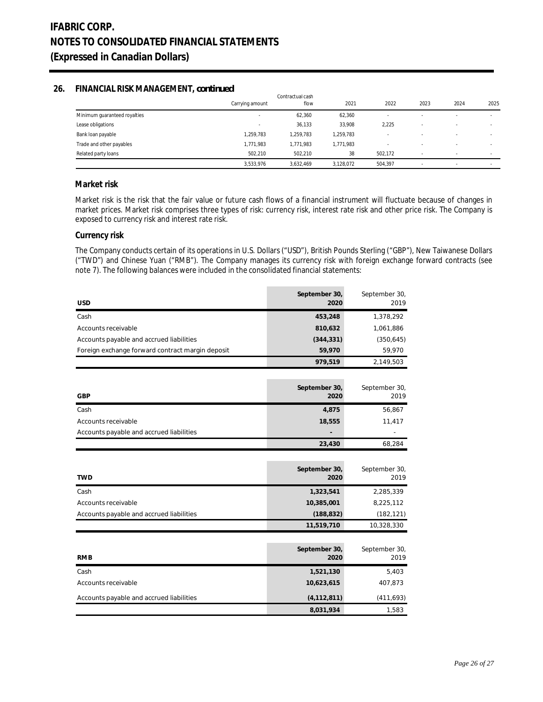# **IFABRIC CORP. NOTES TO CONSOLIDATED FINANCIAL STATEMENTS (Expressed in Canadian Dollars)**

## **26. FINANCIAL RISK MANAGEMENT,** *continued*

|                              |                          | Contractual cash |           |         |      |      |      |
|------------------------------|--------------------------|------------------|-----------|---------|------|------|------|
|                              | Carrying amount          | flow             | 2021      | 2022    | 2023 | 2024 | 2025 |
| Minimum guaranteed royalties | $\overline{\phantom{a}}$ | 62,360           | 62,360    |         |      |      |      |
| Lease obligations            | $\sim$                   | 36,133           | 33.908    | 2,225   |      |      |      |
| Bank loan payable            | 1,259,783                | 1,259,783        | 1,259,783 | $\sim$  |      |      |      |
| Trade and other payables     | 1,771,983                | 1,771,983        | 1,771,983 |         |      |      |      |
| Related party loans          | 502.210                  | 502.210          | 38        | 502,172 |      |      |      |
|                              | 3,533,976                | 3,632,469        | 3,128,072 | 504,397 |      |      |      |

#### **Market risk**

Market risk is the risk that the fair value or future cash flows of a financial instrument will fluctuate because of changes in market prices. Market risk comprises three types of risk: currency risk, interest rate risk and other price risk. The Company is exposed to currency risk and interest rate risk.

#### **Currency risk**

The Company conducts certain of its operations in U.S. Dollars ("USD"), British Pounds Sterling ("GBP"), New Taiwanese Dollars ("TWD") and Chinese Yuan ("RMB"). The Company manages its currency risk with foreign exchange forward contracts (see note 7). The following balances were included in the consolidated financial statements:

| <b>USD</b>                                       | September 30,<br>2020 | September 30,<br>2019 |
|--------------------------------------------------|-----------------------|-----------------------|
| Cash                                             | 453,248               | 1,378,292             |
| Accounts receivable                              | 810,632               | 1,061,886             |
| Accounts payable and accrued liabilities         | (344, 331)            | (350, 645)            |
| Foreign exchange forward contract margin deposit | 59,970                | 59,970                |
|                                                  | 979,519               | 2,149,503             |
|                                                  |                       |                       |
| <b>GBP</b>                                       | September 30,<br>2020 | September 30,<br>2019 |
| Cash                                             | 4,875                 | 56,867                |
| Accounts receivable                              | 18,555                | 11,417                |
| Accounts payable and accrued liabilities         |                       |                       |
|                                                  | 23,430                | 68,284                |
|                                                  |                       |                       |
| <b>TWD</b>                                       | September 30,<br>2020 | September 30,<br>2019 |
| Cash                                             | 1,323,541             | 2,285,339             |
| Accounts receivable                              | 10,385,001            | 8,225,112             |
| Accounts payable and accrued liabilities         | (188, 832)            | (182, 121)            |
|                                                  | 11,519,710            | 10,328,330            |
|                                                  |                       |                       |
| <b>RMB</b>                                       | September 30,<br>2020 | September 30,<br>2019 |
| Cash                                             | 1,521,130             | 5,403                 |
| Accounts receivable                              | 10,623,615            | 407,873               |
| Accounts payable and accrued liabilities         | (4, 112, 811)         | (411, 693)            |
|                                                  | 8,031,934             | 1,583                 |